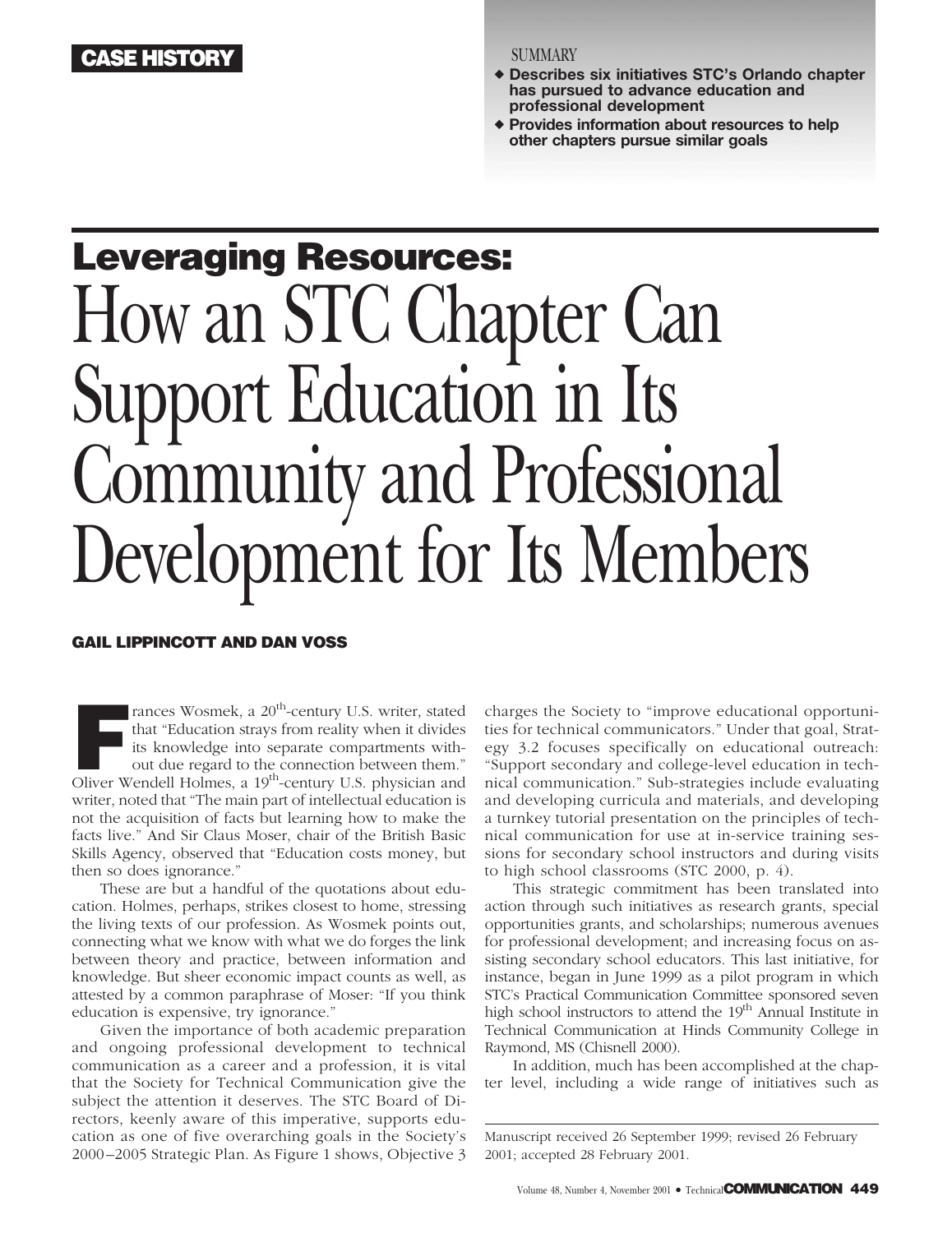## **ASE HISTORY** SUMMARY

- **Describes six initiatives STC's Orlando chapter has pursued to advance education and professional development**
- **Provides information about resources to help other chapters pursue similar goals**

# **Leveraging Resources:** How an STC Chapter Can Support Education in Its Community and Professional Development for Its Members

#### **GAIL LIPPINCOTT AND DAN VOSS**

**F** rances Wosmek, a 20<sup>th</sup>-century U.S. writer, stated that "Education strays from reality when it divides its knowledge into separate compartments without due regard to the connection between them." Oliver Wendell Holmes, a 19<sup>th</sup>-century U.S. physician and writer, noted that "The main part of intellectual education is not the acquisition of facts but learning how to make the facts live." And Sir Claus Moser, chair of the British Basic Skills Agency, observed that "Education costs money, but then so does ignorance."

These are but a handful of the quotations about education. Holmes, perhaps, strikes closest to home, stressing the living texts of our profession. As Wosmek points out, connecting what we know with what we do forges the link between theory and practice, between information and knowledge. But sheer economic impact counts as well, as attested by a common paraphrase of Moser: "If you think education is expensive, try ignorance."

Given the importance of both academic preparation and ongoing professional development to technical communication as a career and a profession, it is vital that the Society for Technical Communication give the subject the attention it deserves. The STC Board of Directors, keenly aware of this imperative, supports education as one of five overarching goals in the Society's 2000–2005 Strategic Plan. As Figure 1 shows, Objective 3

charges the Society to "improve educational opportunities for technical communicators." Under that goal, Strategy 3.2 focuses specifically on educational outreach: "Support secondary and college-level education in technical communication." Sub-strategies include evaluating and developing curricula and materials, and developing a turnkey tutorial presentation on the principles of technical communication for use at in-service training sessions for secondary school instructors and during visits to high school classrooms (STC 2000, p. 4).

This strategic commitment has been translated into action through such initiatives as research grants, special opportunities grants, and scholarships; numerous avenues for professional development; and increasing focus on assisting secondary school educators. This last initiative, for instance, began in June 1999 as a pilot program in which STC's Practical Communication Committee sponsored seven high school instructors to attend the 19<sup>th</sup> Annual Institute in Technical Communication at Hinds Community College in Raymond, MS (Chisnell 2000).

In addition, much has been accomplished at the chapter level, including a wide range of initiatives such as

Manuscript received 26 September 1999; revised 26 February 2001; accepted 28 February 2001.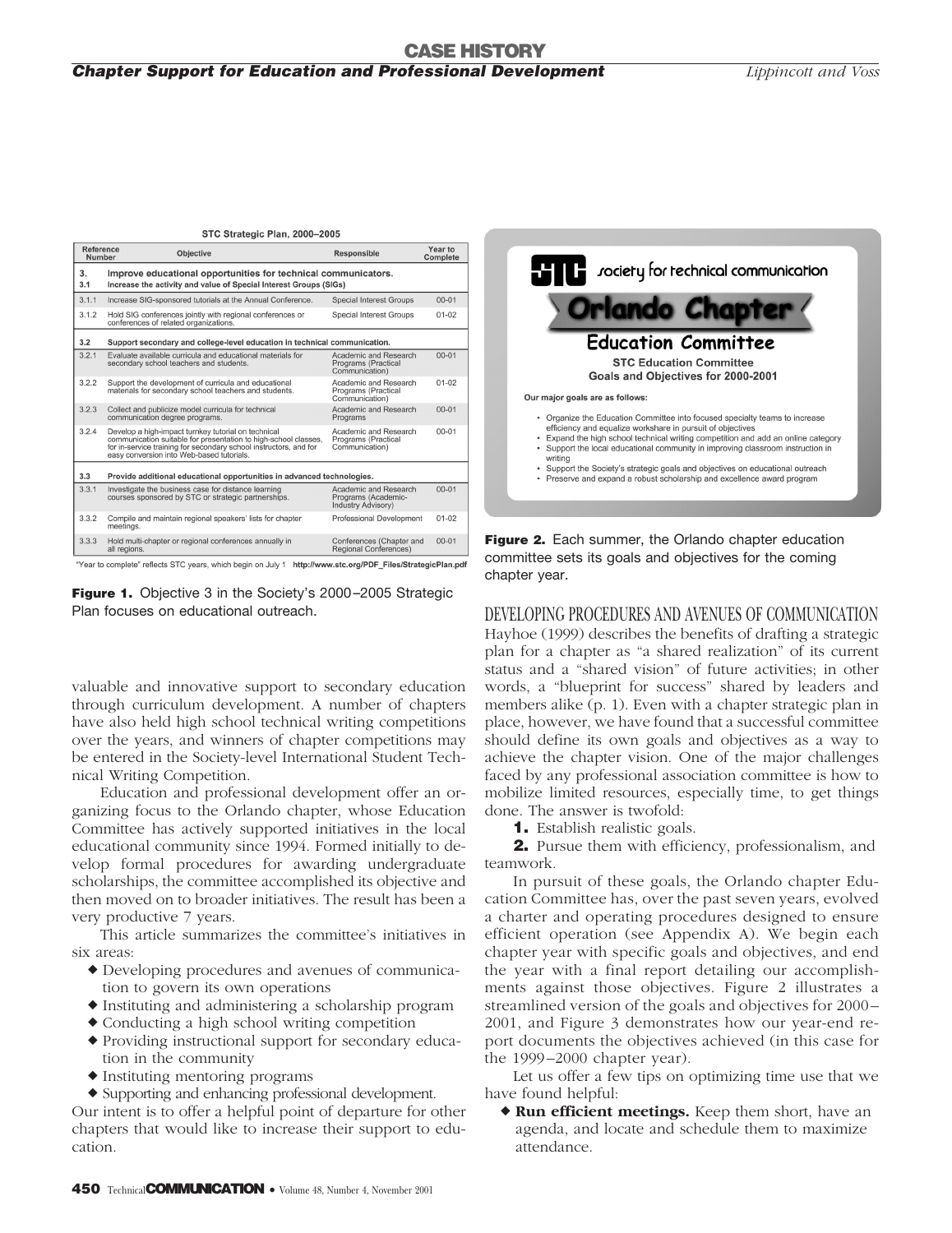#### **CASE HISTORY** *Chapter Support for Education and Professional Development Lippincott and Voss*

| Reference<br>Number | Objective                                                                                                                                                                                                                                | Responsible                                                        | Year to<br>Complete |  |  |  |  |  |
|---------------------|------------------------------------------------------------------------------------------------------------------------------------------------------------------------------------------------------------------------------------------|--------------------------------------------------------------------|---------------------|--|--|--|--|--|
| 3.<br>3.1           | Improve educational opportunities for technical communicators.<br>Increase the activity and value of Special Interest Groups (SIGs)                                                                                                      |                                                                    |                     |  |  |  |  |  |
| 3.1.1               | Increase SIG-sponsored tutorials at the Annual Conference.                                                                                                                                                                               | <b>Special Interest Groups</b>                                     | $00 - 01$           |  |  |  |  |  |
| 3.1.2               | Hold SIG conferences jointly with regional conferences or<br>conferences of related organizations.                                                                                                                                       | <b>Special Interest Groups</b>                                     | $01 - 02$           |  |  |  |  |  |
| 3.2                 | Support secondary and college-level education in technical communication.                                                                                                                                                                |                                                                    |                     |  |  |  |  |  |
| 3.2.1               | Evaluate available curricula and educational materials for<br>secondary school teachers and students.                                                                                                                                    | Academic and Research<br>Programs (Practical<br>Communication)     | $00 - 01$           |  |  |  |  |  |
| 3.2.2               | Support the development of curricula and educational<br>materials for secondary school teachers and students.                                                                                                                            | Academic and Research<br>Programs (Practical<br>Communication)     | $01 - 02$           |  |  |  |  |  |
| 3.2.3               | Collect and publicize model curricula for technical<br>communication degree programs.                                                                                                                                                    | Academic and Research<br>Programs                                  | $00 - 01$           |  |  |  |  |  |
| 3.2.4               | Develop a high-impact turnkey tutorial on technical<br>communication suitable for presentation to high-school classes,<br>for in-service training for secondary school instructors, and for<br>easy conversion into Web-based tutorials. | Academic and Research<br>Programs (Practical<br>Communication)     | $00 - 01$           |  |  |  |  |  |
| 3.3                 | Provide additional educational opportunities in advanced technologies.                                                                                                                                                                   |                                                                    |                     |  |  |  |  |  |
| 3.3.1               | Investigate the business case for distance learning<br>courses sponsored by STC or strategic partnerships.                                                                                                                               | Academic and Research<br>Programs (Academic-<br>Industry Advisory) | $00 - 01$           |  |  |  |  |  |
| 3.3.2               | Compile and maintain regional speakers' lists for chapter<br>meetings.                                                                                                                                                                   | Professional Development                                           | $01 - 02$           |  |  |  |  |  |
| 3.3.3               | Hold multi-chapter or regional conferences annually in<br>all regions.                                                                                                                                                                   | Conferences (Chapter and<br><b>Regional Conferences)</b>           | $00 - 01$           |  |  |  |  |  |

Year to complete" reflects STC years, which begin on July 1 http://www.stc.org/PDF\_Files/StrategicPlan.pdf

**Figure 1.** Objective 3 in the Society's 2000–2005 Strategic Plan focuses on educational outreach.

valuable and innovative support to secondary education through curriculum development. A number of chapters have also held high school technical writing competitions over the years, and winners of chapter competitions may be entered in the Society-level International Student Technical Writing Competition.

Education and professional development offer an organizing focus to the Orlando chapter, whose Education Committee has actively supported initiatives in the local educational community since 1994. Formed initially to develop formal procedures for awarding undergraduate scholarships, the committee accomplished its objective and then moved on to broader initiatives. The result has been a very productive 7 years.

This article summarizes the committee's initiatives in six areas:

- Developing procedures and avenues of communication to govern its own operations
- Instituting and administering a scholarship program
- Conducting a high school writing competition
- Providing instructional support for secondary education in the community
- Instituting mentoring programs
- Supporting and enhancing professional development.

Our intent is to offer a helpful point of departure for other chapters that would like to increase their support to education.



**Figure 2.** Each summer, the Orlando chapter education committee sets its goals and objectives for the coming chapter year.

DEVELOPING PROCEDURES AND AVENUES OF COMMUNICATION Hayhoe (1999) describes the benefits of drafting a strategic plan for a chapter as "a shared realization" of its current status and a "shared vision" of future activities; in other words, a "blueprint for success" shared by leaders and members alike (p. 1). Even with a chapter strategic plan in place, however, we have found that a successful committee should define its own goals and objectives as a way to achieve the chapter vision. One of the major challenges faced by any professional association committee is how to mobilize limited resources, especially time, to get things done. The answer is twofold:

**1.** Establish realistic goals.

**2.** Pursue them with efficiency, professionalism, and teamwork.

In pursuit of these goals, the Orlando chapter Education Committee has, over the past seven years, evolved a charter and operating procedures designed to ensure efficient operation (see Appendix A). We begin each chapter year with specific goals and objectives, and end the year with a final report detailing our accomplishments against those objectives. Figure 2 illustrates a streamlined version of the goals and objectives for 2000 – 2001, and Figure 3 demonstrates how our year-end report documents the objectives achieved (in this case for the 1999 –2000 chapter year).

Let us offer a few tips on optimizing time use that we have found helpful:

 **Run efficient meetings.** Keep them short, have an agenda, and locate and schedule them to maximize attendance.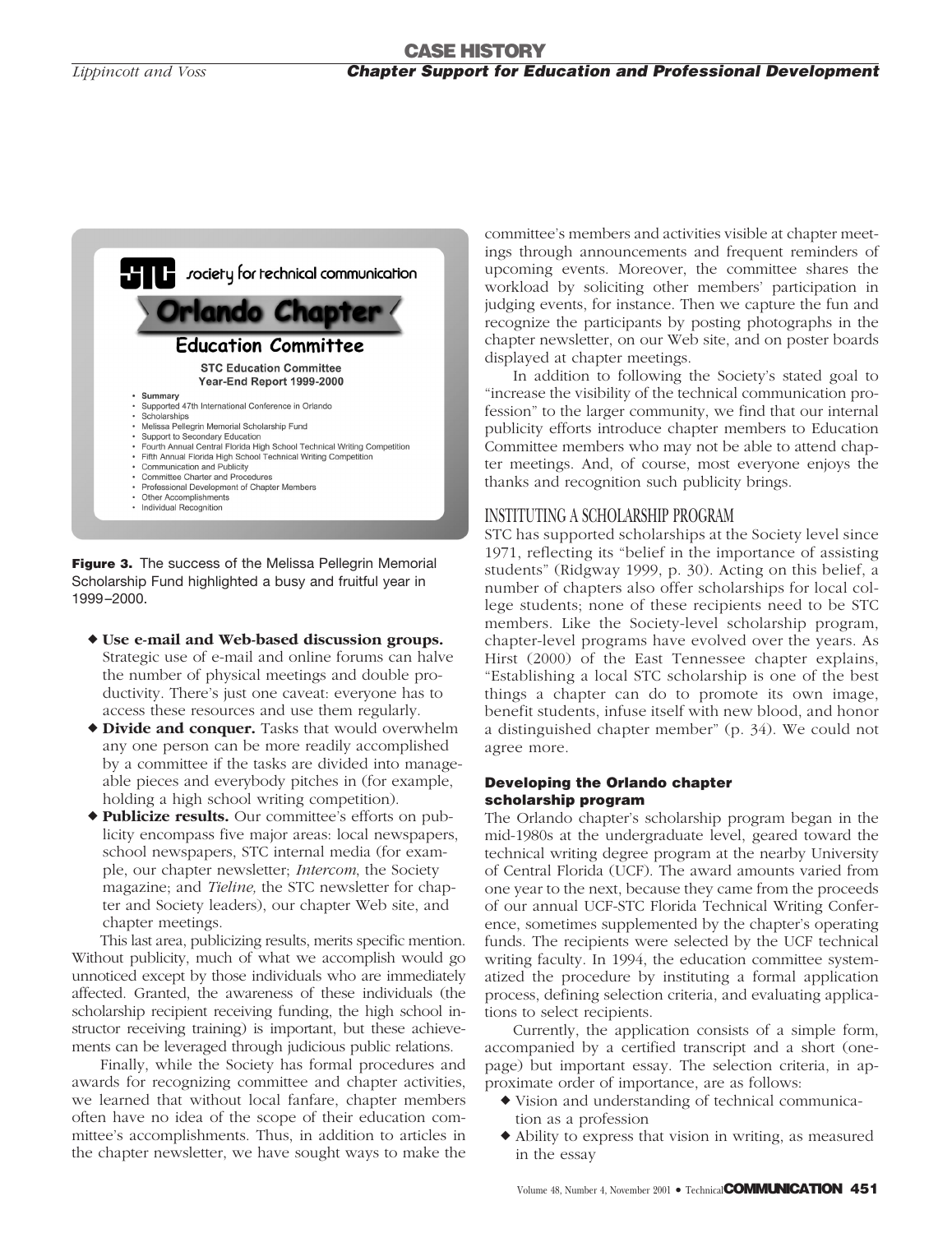

**Figure 3.** The success of the Melissa Pellegrin Memorial Scholarship Fund highlighted a busy and fruitful year in 1999–2000.

- **Use e-mail and Web-based discussion groups.** Strategic use of e-mail and online forums can halve the number of physical meetings and double productivity. There's just one caveat: everyone has to access these resources and use them regularly.
- **Divide and conquer.** Tasks that would overwhelm any one person can be more readily accomplished by a committee if the tasks are divided into manageable pieces and everybody pitches in (for example, holding a high school writing competition).
- **Publicize results.** Our committee's efforts on publicity encompass five major areas: local newspapers, school newspapers, STC internal media (for example, our chapter newsletter; *Intercom*, the Society magazine; and *Tieline,* the STC newsletter for chapter and Society leaders), our chapter Web site, and chapter meetings.

This last area, publicizing results, merits specific mention. Without publicity, much of what we accomplish would go unnoticed except by those individuals who are immediately affected. Granted, the awareness of these individuals (the scholarship recipient receiving funding, the high school instructor receiving training) is important, but these achievements can be leveraged through judicious public relations.

Finally, while the Society has formal procedures and awards for recognizing committee and chapter activities, we learned that without local fanfare, chapter members often have no idea of the scope of their education committee's accomplishments. Thus, in addition to articles in the chapter newsletter, we have sought ways to make the committee's members and activities visible at chapter meetings through announcements and frequent reminders of upcoming events. Moreover, the committee shares the workload by soliciting other members' participation in judging events, for instance. Then we capture the fun and recognize the participants by posting photographs in the chapter newsletter, on our Web site, and on poster boards displayed at chapter meetings.

In addition to following the Society's stated goal to "increase the visibility of the technical communication profession" to the larger community, we find that our internal publicity efforts introduce chapter members to Education Committee members who may not be able to attend chapter meetings. And, of course, most everyone enjoys the thanks and recognition such publicity brings.

### INSTITUTING A SCHOLARSHIP PROGRAM

STC has supported scholarships at the Society level since 1971, reflecting its "belief in the importance of assisting students" (Ridgway 1999, p. 30). Acting on this belief, a number of chapters also offer scholarships for local college students; none of these recipients need to be STC members. Like the Society-level scholarship program, chapter-level programs have evolved over the years. As Hirst (2000) of the East Tennessee chapter explains, "Establishing a local STC scholarship is one of the best things a chapter can do to promote its own image, benefit students, infuse itself with new blood, and honor a distinguished chapter member" (p. 34). We could not agree more.

#### **Developing the Orlando chapter scholarship program**

The Orlando chapter's scholarship program began in the mid-1980s at the undergraduate level, geared toward the technical writing degree program at the nearby University of Central Florida (UCF). The award amounts varied from one year to the next, because they came from the proceeds of our annual UCF-STC Florida Technical Writing Conference, sometimes supplemented by the chapter's operating funds. The recipients were selected by the UCF technical writing faculty. In 1994, the education committee systematized the procedure by instituting a formal application process, defining selection criteria, and evaluating applications to select recipients.

Currently, the application consists of a simple form, accompanied by a certified transcript and a short (onepage) but important essay. The selection criteria, in approximate order of importance, are as follows:

- Vision and understanding of technical communication as a profession
- Ability to express that vision in writing, as measured in the essay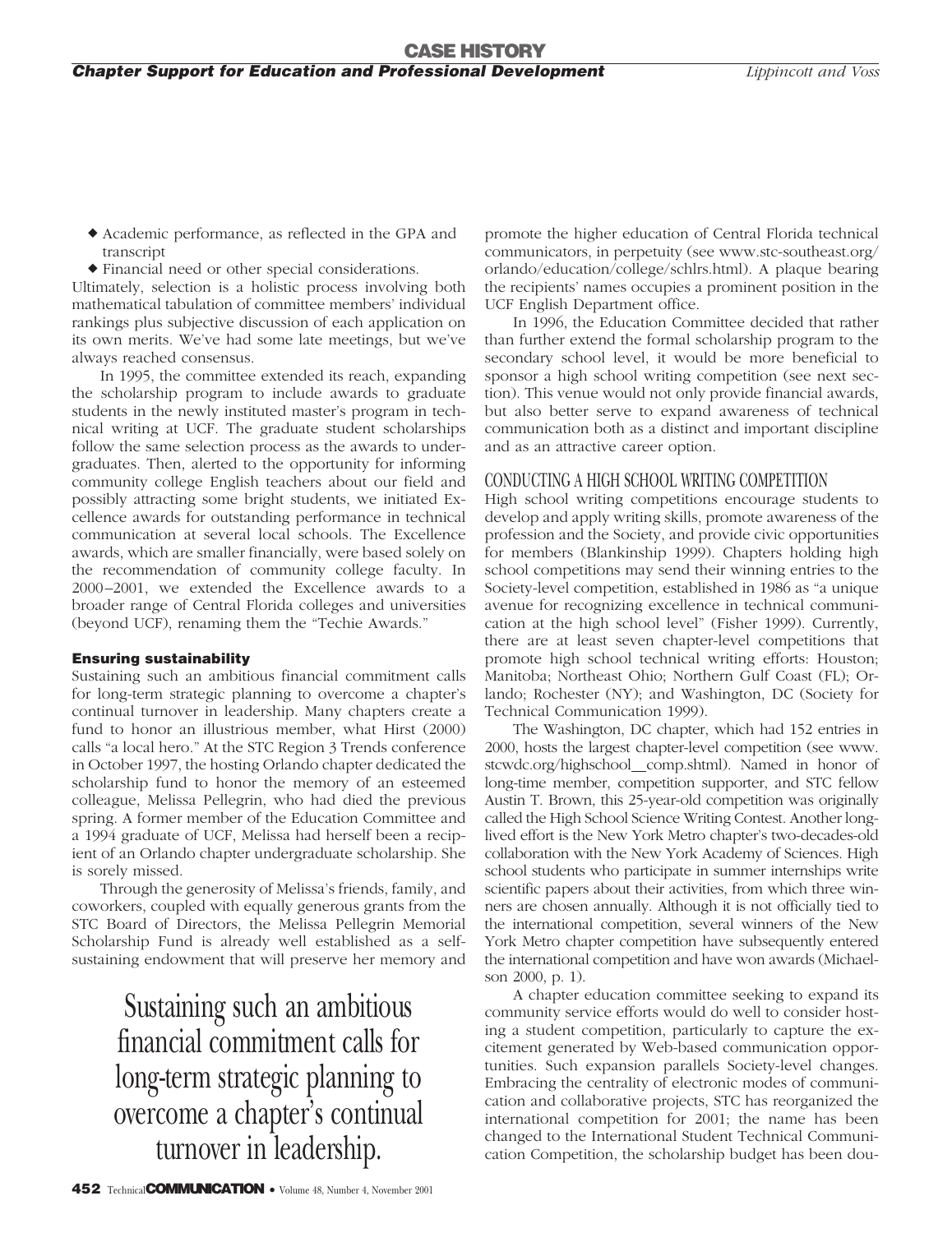- Academic performance, as reflected in the GPA and transcript
- Financial need or other special considerations.

Ultimately, selection is a holistic process involving both mathematical tabulation of committee members' individual rankings plus subjective discussion of each application on its own merits. We've had some late meetings, but we've always reached consensus.

In 1995, the committee extended its reach, expanding the scholarship program to include awards to graduate students in the newly instituted master's program in technical writing at UCF. The graduate student scholarships follow the same selection process as the awards to undergraduates. Then, alerted to the opportunity for informing community college English teachers about our field and possibly attracting some bright students, we initiated Excellence awards for outstanding performance in technical communication at several local schools. The Excellence awards, which are smaller financially, were based solely on the recommendation of community college faculty. In 2000–2001, we extended the Excellence awards to a broader range of Central Florida colleges and universities (beyond UCF), renaming them the "Techie Awards."

#### **Ensuring sustainability**

Sustaining such an ambitious financial commitment calls for long-term strategic planning to overcome a chapter's continual turnover in leadership. Many chapters create a fund to honor an illustrious member, what Hirst (2000) calls "a local hero." At the STC Region 3 Trends conference in October 1997, the hosting Orlando chapter dedicated the scholarship fund to honor the memory of an esteemed colleague, Melissa Pellegrin, who had died the previous spring. A former member of the Education Committee and a 1994 graduate of UCF, Melissa had herself been a recipient of an Orlando chapter undergraduate scholarship. She is sorely missed.

Through the generosity of Melissa's friends, family, and coworkers, coupled with equally generous grants from the STC Board of Directors, the Melissa Pellegrin Memorial Scholarship Fund is already well established as a selfsustaining endowment that will preserve her memory and

> Sustaining such an ambitious financial commitment calls for long-term strategic planning to overcome a chapter's continual turnover in leadership.

promote the higher education of Central Florida technical communicators, in perpetuity (see www.stc-southeast.org/ orlando/education/college/schlrs.html). A plaque bearing the recipients' names occupies a prominent position in the UCF English Department office.

In 1996, the Education Committee decided that rather than further extend the formal scholarship program to the secondary school level, it would be more beneficial to sponsor a high school writing competition (see next section). This venue would not only provide financial awards, but also better serve to expand awareness of technical communication both as a distinct and important discipline and as an attractive career option.

#### CONDUCTING A HIGH SCHOOL WRITING COMPETITION

High school writing competitions encourage students to develop and apply writing skills, promote awareness of the profession and the Society, and provide civic opportunities for members (Blankinship 1999). Chapters holding high school competitions may send their winning entries to the Society-level competition, established in 1986 as "a unique avenue for recognizing excellence in technical communication at the high school level" (Fisher 1999). Currently, there are at least seven chapter-level competitions that promote high school technical writing efforts: Houston; Manitoba; Northeast Ohio; Northern Gulf Coast (FL); Orlando; Rochester (NY); and Washington, DC (Society for Technical Communication 1999).

The Washington, DC chapter, which had 152 entries in 2000, hosts the largest chapter-level competition (see www. stcwdc.org/highschool comp.shtml). Named in honor of long-time member, competition supporter, and STC fellow Austin T. Brown, this 25-year-old competition was originally called the High School Science Writing Contest. Another longlived effort is the New York Metro chapter's two-decades-old collaboration with the New York Academy of Sciences. High school students who participate in summer internships write scientific papers about their activities, from which three winners are chosen annually. Although it is not officially tied to the international competition, several winners of the New York Metro chapter competition have subsequently entered the international competition and have won awards (Michaelson 2000, p. 1).

A chapter education committee seeking to expand its community service efforts would do well to consider hosting a student competition, particularly to capture the excitement generated by Web-based communication opportunities. Such expansion parallels Society-level changes. Embracing the centrality of electronic modes of communication and collaborative projects, STC has reorganized the international competition for 2001; the name has been changed to the International Student Technical Communication Competition, the scholarship budget has been dou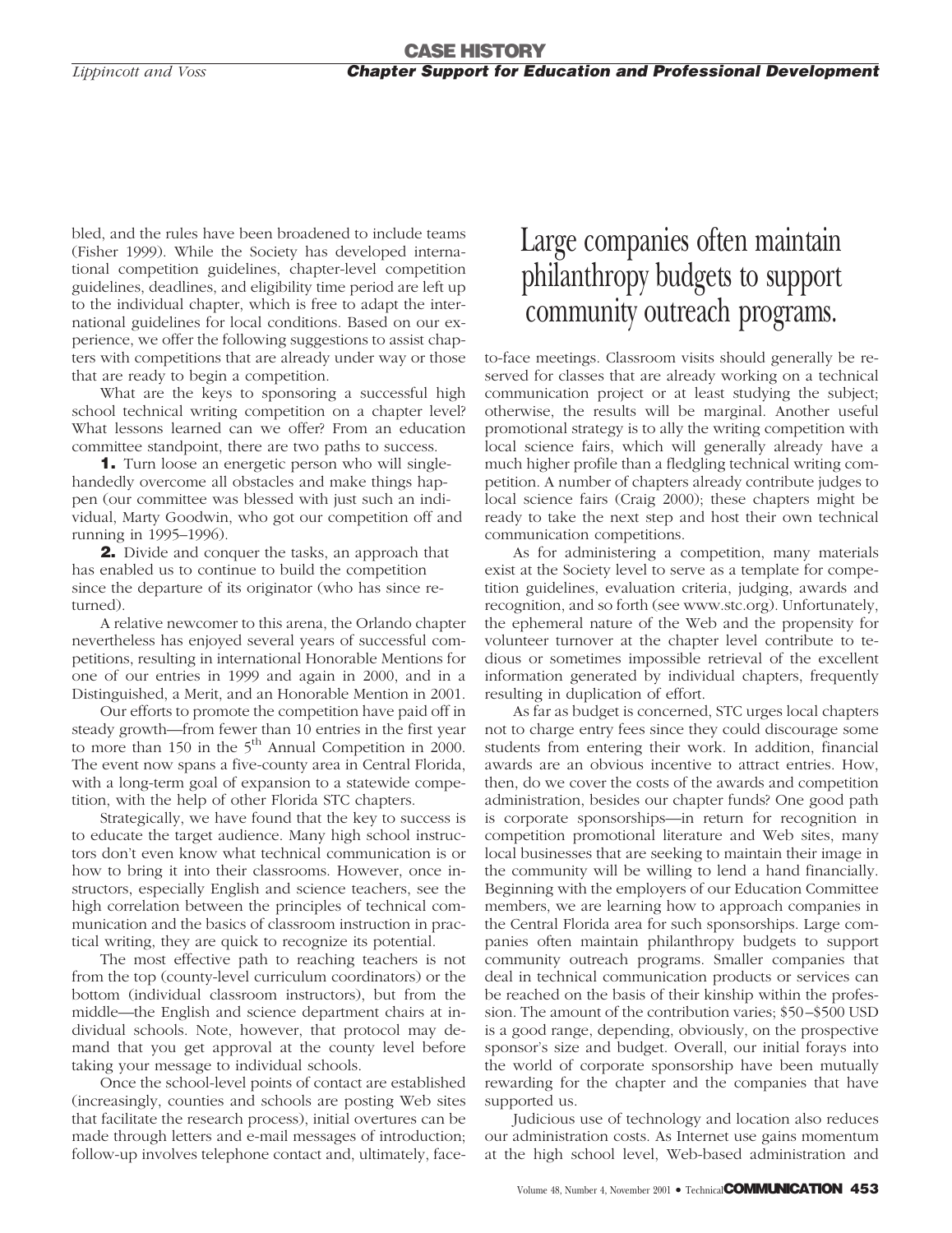bled, and the rules have been broadened to include teams (Fisher 1999). While the Society has developed international competition guidelines, chapter-level competition guidelines, deadlines, and eligibility time period are left up to the individual chapter, which is free to adapt the international guidelines for local conditions. Based on our experience, we offer the following suggestions to assist chapters with competitions that are already under way or those that are ready to begin a competition.

What are the keys to sponsoring a successful high school technical writing competition on a chapter level? What lessons learned can we offer? From an education committee standpoint, there are two paths to success.

**1.** Turn loose an energetic person who will singlehandedly overcome all obstacles and make things happen (our committee was blessed with just such an individual, Marty Goodwin, who got our competition off and running in 1995–1996).

**2.** Divide and conquer the tasks, an approach that has enabled us to continue to build the competition since the departure of its originator (who has since returned).

A relative newcomer to this arena, the Orlando chapter nevertheless has enjoyed several years of successful competitions, resulting in international Honorable Mentions for one of our entries in 1999 and again in 2000, and in a Distinguished, a Merit, and an Honorable Mention in 2001.

Our efforts to promote the competition have paid off in steady growth—from fewer than 10 entries in the first year to more than 150 in the  $5<sup>th</sup>$  Annual Competition in 2000. The event now spans a five-county area in Central Florida, with a long-term goal of expansion to a statewide competition, with the help of other Florida STC chapters.

Strategically, we have found that the key to success is to educate the target audience. Many high school instructors don't even know what technical communication is or how to bring it into their classrooms. However, once instructors, especially English and science teachers, see the high correlation between the principles of technical communication and the basics of classroom instruction in practical writing, they are quick to recognize its potential.

The most effective path to reaching teachers is not from the top (county-level curriculum coordinators) or the bottom (individual classroom instructors), but from the middle—the English and science department chairs at individual schools. Note, however, that protocol may demand that you get approval at the county level before taking your message to individual schools.

Once the school-level points of contact are established (increasingly, counties and schools are posting Web sites that facilitate the research process), initial overtures can be made through letters and e-mail messages of introduction; follow-up involves telephone contact and, ultimately, face-

# Large companies often maintain philanthropy budgets to support community outreach programs.

to-face meetings. Classroom visits should generally be reserved for classes that are already working on a technical communication project or at least studying the subject; otherwise, the results will be marginal. Another useful promotional strategy is to ally the writing competition with local science fairs, which will generally already have a much higher profile than a fledgling technical writing competition. A number of chapters already contribute judges to local science fairs (Craig 2000); these chapters might be ready to take the next step and host their own technical communication competitions.

As for administering a competition, many materials exist at the Society level to serve as a template for competition guidelines, evaluation criteria, judging, awards and recognition, and so forth (see www.stc.org). Unfortunately, the ephemeral nature of the Web and the propensity for volunteer turnover at the chapter level contribute to tedious or sometimes impossible retrieval of the excellent information generated by individual chapters, frequently resulting in duplication of effort.

As far as budget is concerned, STC urges local chapters not to charge entry fees since they could discourage some students from entering their work. In addition, financial awards are an obvious incentive to attract entries. How, then, do we cover the costs of the awards and competition administration, besides our chapter funds? One good path is corporate sponsorships—in return for recognition in competition promotional literature and Web sites, many local businesses that are seeking to maintain their image in the community will be willing to lend a hand financially. Beginning with the employers of our Education Committee members, we are learning how to approach companies in the Central Florida area for such sponsorships. Large companies often maintain philanthropy budgets to support community outreach programs. Smaller companies that deal in technical communication products or services can be reached on the basis of their kinship within the profession. The amount of the contribution varies; \$50–\$500 USD is a good range, depending, obviously, on the prospective sponsor's size and budget. Overall, our initial forays into the world of corporate sponsorship have been mutually rewarding for the chapter and the companies that have supported us.

Judicious use of technology and location also reduces our administration costs. As Internet use gains momentum at the high school level, Web-based administration and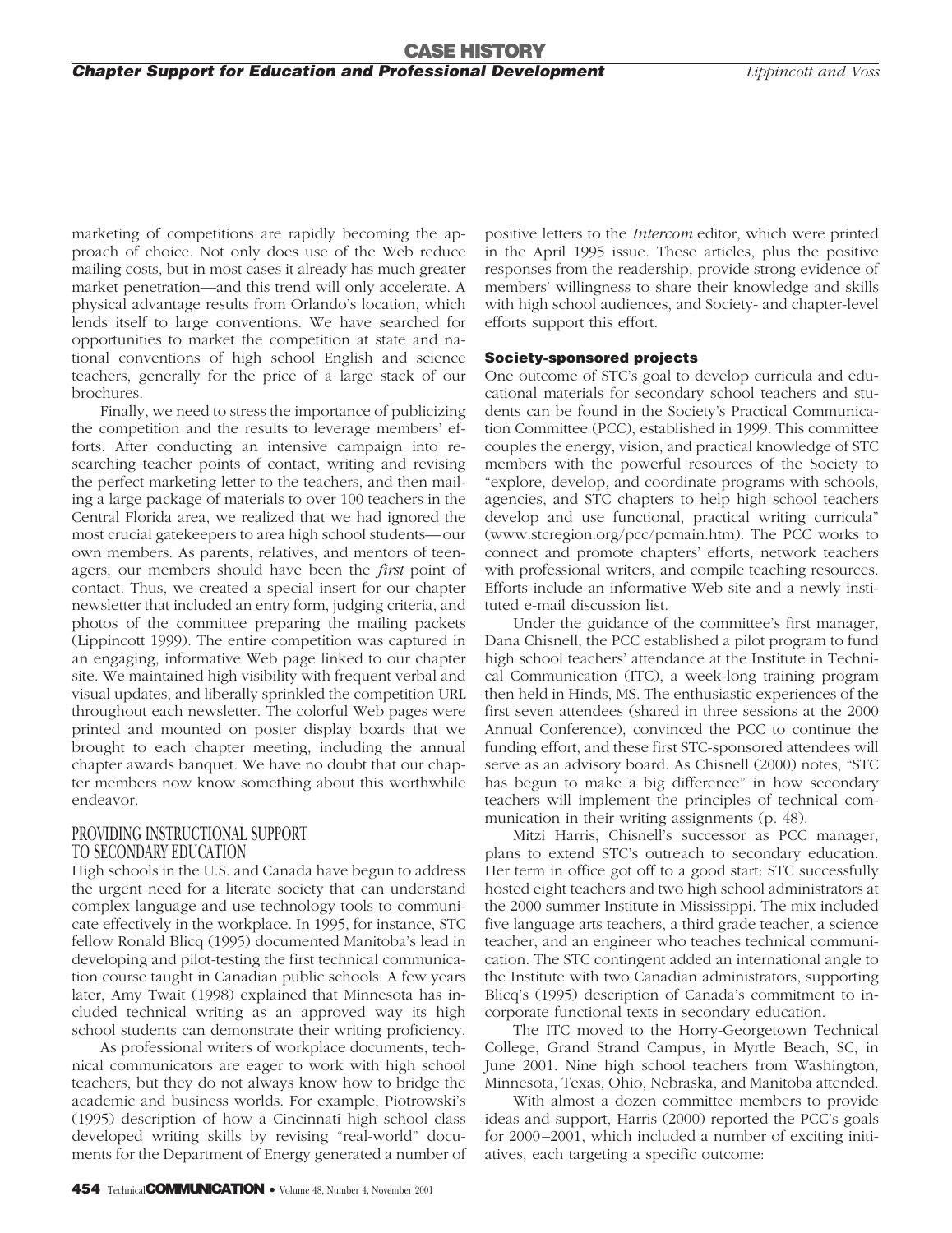marketing of competitions are rapidly becoming the approach of choice. Not only does use of the Web reduce mailing costs, but in most cases it already has much greater market penetration—and this trend will only accelerate. A physical advantage results from Orlando's location, which lends itself to large conventions. We have searched for opportunities to market the competition at state and national conventions of high school English and science teachers, generally for the price of a large stack of our brochures.

Finally, we need to stress the importance of publicizing the competition and the results to leverage members' efforts. After conducting an intensive campaign into researching teacher points of contact, writing and revising the perfect marketing letter to the teachers, and then mailing a large package of materials to over 100 teachers in the Central Florida area, we realized that we had ignored the most crucial gatekeepers to area high school students—our own members. As parents, relatives, and mentors of teenagers, our members should have been the *first* point of contact. Thus, we created a special insert for our chapter newsletter that included an entry form, judging criteria, and photos of the committee preparing the mailing packets (Lippincott 1999). The entire competition was captured in an engaging, informative Web page linked to our chapter site. We maintained high visibility with frequent verbal and visual updates, and liberally sprinkled the competition URL throughout each newsletter. The colorful Web pages were printed and mounted on poster display boards that we brought to each chapter meeting, including the annual chapter awards banquet. We have no doubt that our chapter members now know something about this worthwhile endeavor.

#### PROVIDING INSTRUCTIONAL SUPPORT TO SECONDARY EDUCATION

High schools in the U.S. and Canada have begun to address the urgent need for a literate society that can understand complex language and use technology tools to communicate effectively in the workplace. In 1995, for instance, STC fellow Ronald Blicq (1995) documented Manitoba's lead in developing and pilot-testing the first technical communication course taught in Canadian public schools. A few years later, Amy Twait (1998) explained that Minnesota has included technical writing as an approved way its high school students can demonstrate their writing proficiency.

As professional writers of workplace documents, technical communicators are eager to work with high school teachers, but they do not always know how to bridge the academic and business worlds. For example, Piotrowski's (1995) description of how a Cincinnati high school class developed writing skills by revising "real-world" documents for the Department of Energy generated a number of

positive letters to the *Intercom* editor, which were printed in the April 1995 issue. These articles, plus the positive responses from the readership, provide strong evidence of members' willingness to share their knowledge and skills with high school audiences, and Society- and chapter-level efforts support this effort.

#### **Society-sponsored projects**

One outcome of STC's goal to develop curricula and educational materials for secondary school teachers and students can be found in the Society's Practical Communication Committee (PCC), established in 1999. This committee couples the energy, vision, and practical knowledge of STC members with the powerful resources of the Society to "explore, develop, and coordinate programs with schools, agencies, and STC chapters to help high school teachers develop and use functional, practical writing curricula" (www.stcregion.org/pcc/pcmain.htm). The PCC works to connect and promote chapters' efforts, network teachers with professional writers, and compile teaching resources. Efforts include an informative Web site and a newly instituted e-mail discussion list.

Under the guidance of the committee's first manager, Dana Chisnell, the PCC established a pilot program to fund high school teachers' attendance at the Institute in Technical Communication (ITC), a week-long training program then held in Hinds, MS. The enthusiastic experiences of the first seven attendees (shared in three sessions at the 2000 Annual Conference), convinced the PCC to continue the funding effort, and these first STC-sponsored attendees will serve as an advisory board. As Chisnell (2000) notes, "STC has begun to make a big difference" in how secondary teachers will implement the principles of technical communication in their writing assignments (p. 48).

Mitzi Harris, Chisnell's successor as PCC manager, plans to extend STC's outreach to secondary education. Her term in office got off to a good start: STC successfully hosted eight teachers and two high school administrators at the 2000 summer Institute in Mississippi. The mix included five language arts teachers, a third grade teacher, a science teacher, and an engineer who teaches technical communication. The STC contingent added an international angle to the Institute with two Canadian administrators, supporting Blicq's (1995) description of Canada's commitment to incorporate functional texts in secondary education.

The ITC moved to the Horry-Georgetown Technical College, Grand Strand Campus, in Myrtle Beach, SC, in June 2001. Nine high school teachers from Washington, Minnesota, Texas, Ohio, Nebraska, and Manitoba attended.

With almost a dozen committee members to provide ideas and support, Harris (2000) reported the PCC's goals for 2000–2001, which included a number of exciting initiatives, each targeting a specific outcome: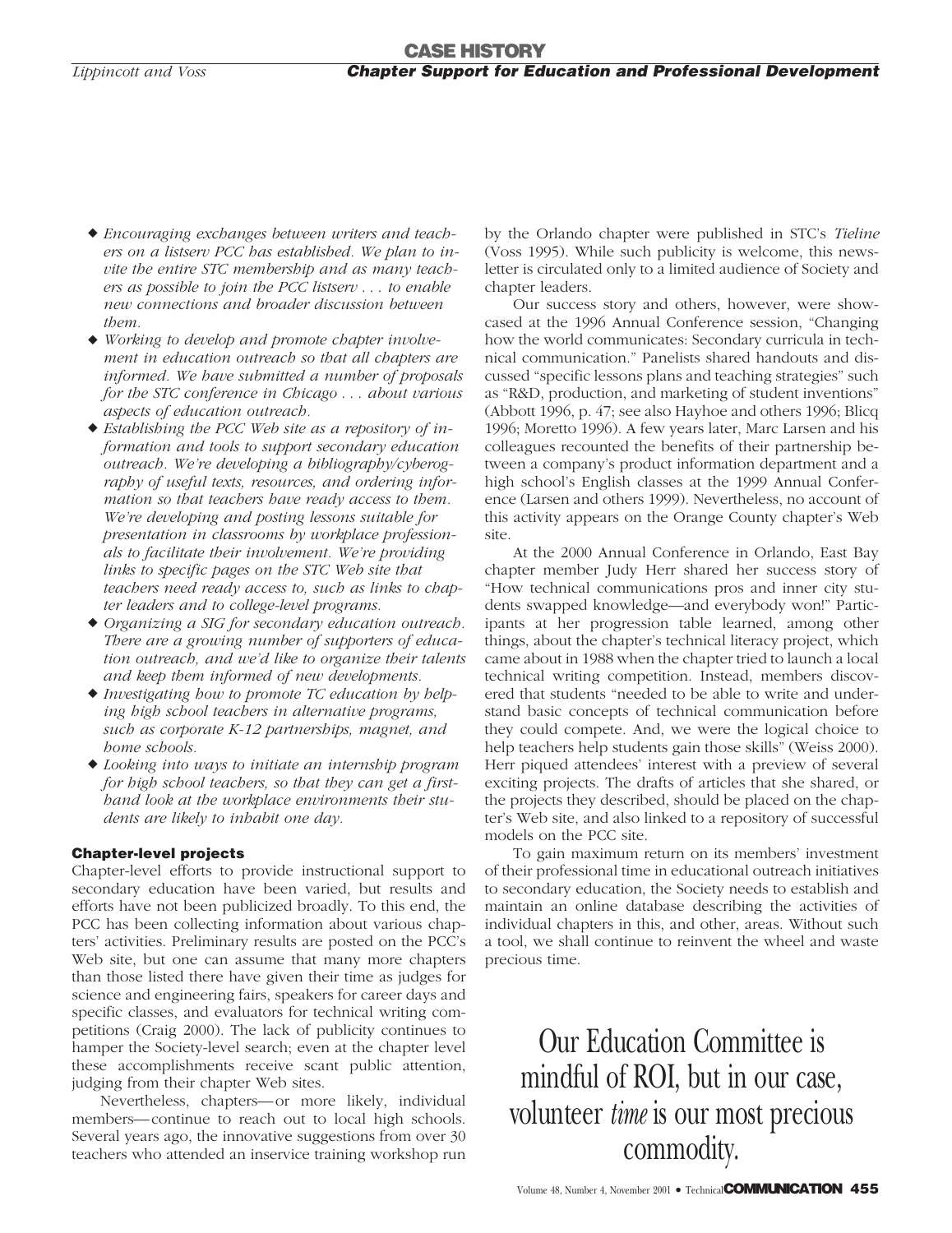- *Encouraging exchanges between writers and teachers on a listserv PCC has established. We plan to invite the entire STC membership and as many teachers as possible to join the PCC listserv* ... *to enable new connections and broader discussion between them.*
- *Working to develop and promote chapter involvement in education outreach so that all chapters are informed. We have submitted a number of proposals for the STC conference in Chicago* ... *about various aspects of education outreach.*
- *Establishing the PCC Web site as a repository of information and tools to support secondary education outreach. We're developing a bibliography/cyberography of useful texts, resources, and ordering information so that teachers have ready access to them. We're developing and posting lessons suitable for presentation in classrooms by workplace professionals to facilitate their involvement. We're providing links to specific pages on the STC Web site that teachers need ready access to, such as links to chapter leaders and to college-level programs.*
- *Organizing a SIG for secondary education outreach. There are a growing number of supporters of education outreach, and we'd like to organize their talents and keep them informed of new developments.*
- *Investigating how to promote TC education by helping high school teachers in alternative programs, such as corporate K-12 partnerships, magnet, and home schools.*
- *Looking into ways to initiate an internship program for high school teachers, so that they can get a firsthand look at the workplace environments their students are likely to inhabit one day.*

#### **Chapter-level projects**

Chapter-level efforts to provide instructional support to secondary education have been varied, but results and efforts have not been publicized broadly. To this end, the PCC has been collecting information about various chapters' activities. Preliminary results are posted on the PCC's Web site, but one can assume that many more chapters than those listed there have given their time as judges for science and engineering fairs, speakers for career days and specific classes, and evaluators for technical writing competitions (Craig 2000). The lack of publicity continues to hamper the Society-level search; even at the chapter level these accomplishments receive scant public attention, judging from their chapter Web sites.

Nevertheless, chapters—or more likely, individual members—continue to reach out to local high schools. Several years ago, the innovative suggestions from over 30 teachers who attended an inservice training workshop run by the Orlando chapter were published in STC's *Tieline* (Voss 1995). While such publicity is welcome, this newsletter is circulated only to a limited audience of Society and chapter leaders.

Our success story and others, however, were showcased at the 1996 Annual Conference session, "Changing how the world communicates: Secondary curricula in technical communication." Panelists shared handouts and discussed "specific lessons plans and teaching strategies" such as "R&D, production, and marketing of student inventions" (Abbott 1996, p. 47; see also Hayhoe and others 1996; Blicq 1996; Moretto 1996). A few years later, Marc Larsen and his colleagues recounted the benefits of their partnership between a company's product information department and a high school's English classes at the 1999 Annual Conference (Larsen and others 1999). Nevertheless, no account of this activity appears on the Orange County chapter's Web site.

At the 2000 Annual Conference in Orlando, East Bay chapter member Judy Herr shared her success story of "How technical communications pros and inner city students swapped knowledge—and everybody won!" Participants at her progression table learned, among other things, about the chapter's technical literacy project, which came about in 1988 when the chapter tried to launch a local technical writing competition. Instead, members discovered that students "needed to be able to write and understand basic concepts of technical communication before they could compete. And, we were the logical choice to help teachers help students gain those skills" (Weiss 2000). Herr piqued attendees' interest with a preview of several exciting projects. The drafts of articles that she shared, or the projects they described, should be placed on the chapter's Web site, and also linked to a repository of successful models on the PCC site.

To gain maximum return on its members' investment of their professional time in educational outreach initiatives to secondary education, the Society needs to establish and maintain an online database describing the activities of individual chapters in this, and other, areas. Without such a tool, we shall continue to reinvent the wheel and waste precious time.

Our Education Committee is mindful of ROI, but in our case, volunteer *time* is our most precious commodity.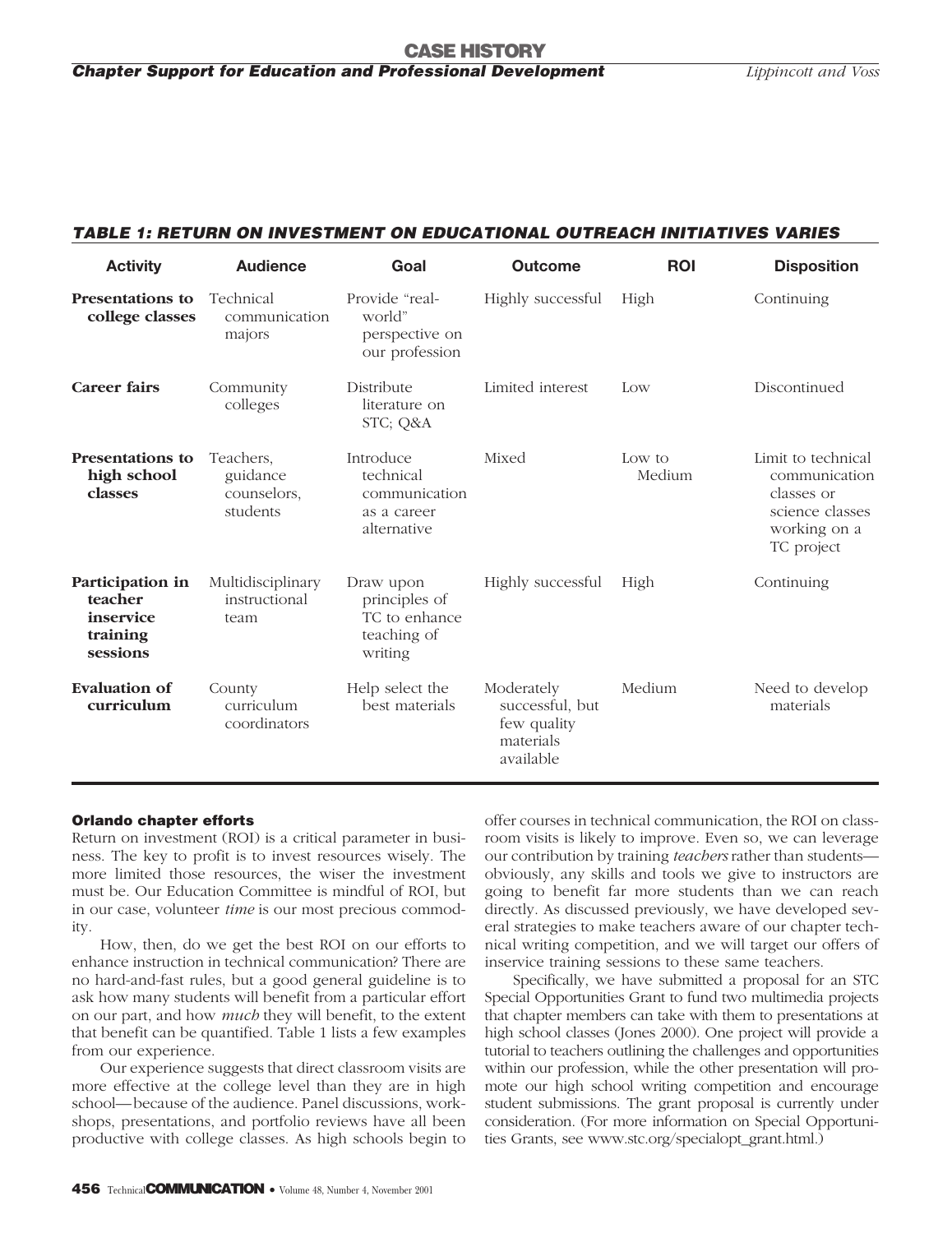#### *TABLE 1: RETURN ON INVESTMENT ON EDUCATIONAL OUTREACH INITIATIVES VARIES*

| <b>Activity</b>                                                  | <b>Audience</b>                                  | Goal                                                                  | <b>Outcome</b>                                                         | <b>ROI</b>       | <b>Disposition</b>                                                                                 |
|------------------------------------------------------------------|--------------------------------------------------|-----------------------------------------------------------------------|------------------------------------------------------------------------|------------------|----------------------------------------------------------------------------------------------------|
| <b>Presentations to</b><br>college classes                       | Technical<br>communication<br>majors             | Provide "real-<br>world"<br>perspective on<br>our profession          | Highly successful                                                      | High             | Continuing                                                                                         |
| <b>Career fairs</b>                                              | Community<br>colleges                            | Distribute<br>literature on<br>STC; Q&A                               | Limited interest                                                       | Low              | Discontinued                                                                                       |
| <b>Presentations to</b><br>high school<br>classes                | Teachers.<br>guidance<br>counselors,<br>students | Introduce<br>technical<br>communication<br>as a career<br>alternative | Mixed                                                                  | Low to<br>Medium | Limit to technical<br>communication<br>classes or<br>science classes<br>working on a<br>TC project |
| Participation in<br>teacher<br>inservice<br>training<br>sessions | Multidisciplinary<br>instructional<br>team       | Draw upon<br>principles of<br>TC to enhance<br>teaching of<br>writing | Highly successful                                                      | High             | Continuing                                                                                         |
| <b>Evaluation of</b><br>curriculum                               | County<br>curriculum<br>coordinators             | Help select the<br>best materials                                     | Moderately<br>successful, but<br>few quality<br>materials<br>available | Medium           | Need to develop<br>materials                                                                       |

#### **Orlando chapter efforts**

Return on investment (ROI) is a critical parameter in business. The key to profit is to invest resources wisely. The more limited those resources, the wiser the investment must be. Our Education Committee is mindful of ROI, but in our case, volunteer *time* is our most precious commodity.

How, then, do we get the best ROI on our efforts to enhance instruction in technical communication? There are no hard-and-fast rules, but a good general guideline is to ask how many students will benefit from a particular effort on our part, and how *much* they will benefit, to the extent that benefit can be quantified. Table 1 lists a few examples from our experience.

Our experience suggests that direct classroom visits are more effective at the college level than they are in high school—because of the audience. Panel discussions, workshops, presentations, and portfolio reviews have all been productive with college classes. As high schools begin to

offer courses in technical communication, the ROI on classroom visits is likely to improve. Even so, we can leverage our contribution by training *teachers* rather than students obviously, any skills and tools we give to instructors are going to benefit far more students than we can reach directly. As discussed previously, we have developed several strategies to make teachers aware of our chapter technical writing competition, and we will target our offers of inservice training sessions to these same teachers.

Specifically, we have submitted a proposal for an STC Special Opportunities Grant to fund two multimedia projects that chapter members can take with them to presentations at high school classes (Jones 2000). One project will provide a tutorial to teachers outlining the challenges and opportunities within our profession, while the other presentation will promote our high school writing competition and encourage student submissions. The grant proposal is currently under consideration. (For more information on Special Opportunities Grants, see www.stc.org/specialopt\_grant.html.)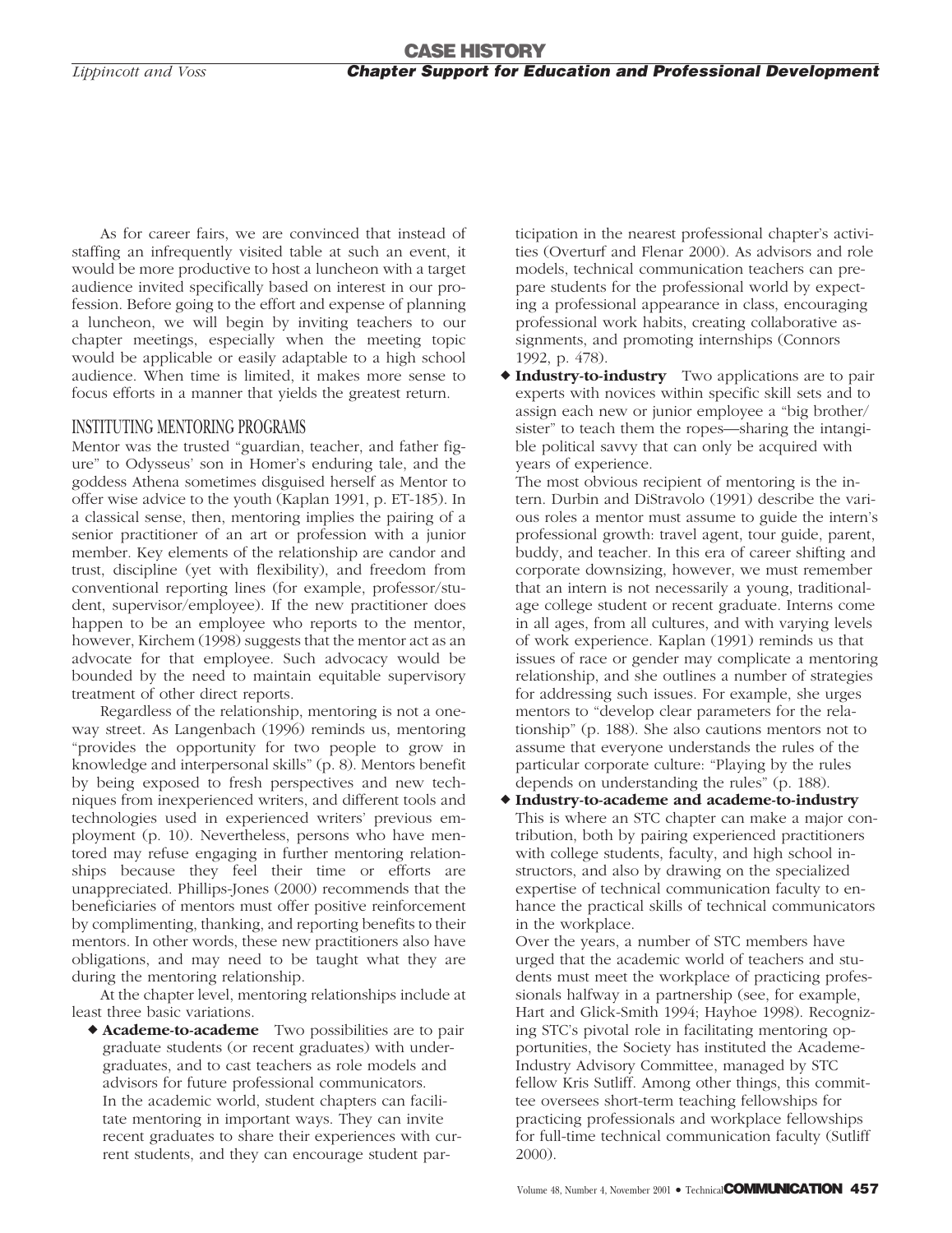As for career fairs, we are convinced that instead of staffing an infrequently visited table at such an event, it would be more productive to host a luncheon with a target audience invited specifically based on interest in our profession. Before going to the effort and expense of planning a luncheon, we will begin by inviting teachers to our chapter meetings, especially when the meeting topic would be applicable or easily adaptable to a high school audience. When time is limited, it makes more sense to focus efforts in a manner that yields the greatest return.

#### INSTITUTING MENTORING PROGRAMS

Mentor was the trusted "guardian, teacher, and father figure" to Odysseus' son in Homer's enduring tale, and the goddess Athena sometimes disguised herself as Mentor to offer wise advice to the youth (Kaplan 1991, p. ET-185). In a classical sense, then, mentoring implies the pairing of a senior practitioner of an art or profession with a junior member. Key elements of the relationship are candor and trust, discipline (yet with flexibility), and freedom from conventional reporting lines (for example, professor/student, supervisor/employee). If the new practitioner does happen to be an employee who reports to the mentor, however, Kirchem (1998) suggests that the mentor act as an advocate for that employee. Such advocacy would be bounded by the need to maintain equitable supervisory treatment of other direct reports.

Regardless of the relationship, mentoring is not a oneway street. As Langenbach (1996) reminds us, mentoring "provides the opportunity for two people to grow in knowledge and interpersonal skills" (p. 8). Mentors benefit by being exposed to fresh perspectives and new techniques from inexperienced writers, and different tools and technologies used in experienced writers' previous employment (p. 10). Nevertheless, persons who have mentored may refuse engaging in further mentoring relationships because they feel their time or efforts are unappreciated. Phillips-Jones (2000) recommends that the beneficiaries of mentors must offer positive reinforcement by complimenting, thanking, and reporting benefits to their mentors. In other words, these new practitioners also have obligations, and may need to be taught what they are during the mentoring relationship.

At the chapter level, mentoring relationships include at least three basic variations.

 **Academe-to-academe** Two possibilities are to pair graduate students (or recent graduates) with undergraduates, and to cast teachers as role models and advisors for future professional communicators. In the academic world, student chapters can facilitate mentoring in important ways. They can invite recent graduates to share their experiences with current students, and they can encourage student participation in the nearest professional chapter's activities (Overturf and Flenar 2000). As advisors and role models, technical communication teachers can prepare students for the professional world by expecting a professional appearance in class, encouraging professional work habits, creating collaborative assignments, and promoting internships (Connors 1992, p. 478).

 **Industry-to-industry** Two applications are to pair experts with novices within specific skill sets and to assign each new or junior employee a "big brother/ sister" to teach them the ropes—sharing the intangible political savvy that can only be acquired with years of experience.

The most obvious recipient of mentoring is the intern. Durbin and DiStravolo (1991) describe the various roles a mentor must assume to guide the intern's professional growth: travel agent, tour guide, parent, buddy, and teacher. In this era of career shifting and corporate downsizing, however, we must remember that an intern is not necessarily a young, traditionalage college student or recent graduate. Interns come in all ages, from all cultures, and with varying levels of work experience. Kaplan (1991) reminds us that issues of race or gender may complicate a mentoring relationship, and she outlines a number of strategies for addressing such issues. For example, she urges mentors to "develop clear parameters for the relationship" (p. 188). She also cautions mentors not to assume that everyone understands the rules of the particular corporate culture: "Playing by the rules depends on understanding the rules" (p. 188).

 **Industry-to-academe and academe-to-industry** This is where an STC chapter can make a major contribution, both by pairing experienced practitioners with college students, faculty, and high school instructors, and also by drawing on the specialized expertise of technical communication faculty to enhance the practical skills of technical communicators in the workplace.

Over the years, a number of STC members have urged that the academic world of teachers and students must meet the workplace of practicing professionals halfway in a partnership (see, for example, Hart and Glick-Smith 1994; Hayhoe 1998). Recognizing STC's pivotal role in facilitating mentoring opportunities, the Society has instituted the Academe-Industry Advisory Committee, managed by STC fellow Kris Sutliff. Among other things, this committee oversees short-term teaching fellowships for practicing professionals and workplace fellowships for full-time technical communication faculty (Sutliff 2000).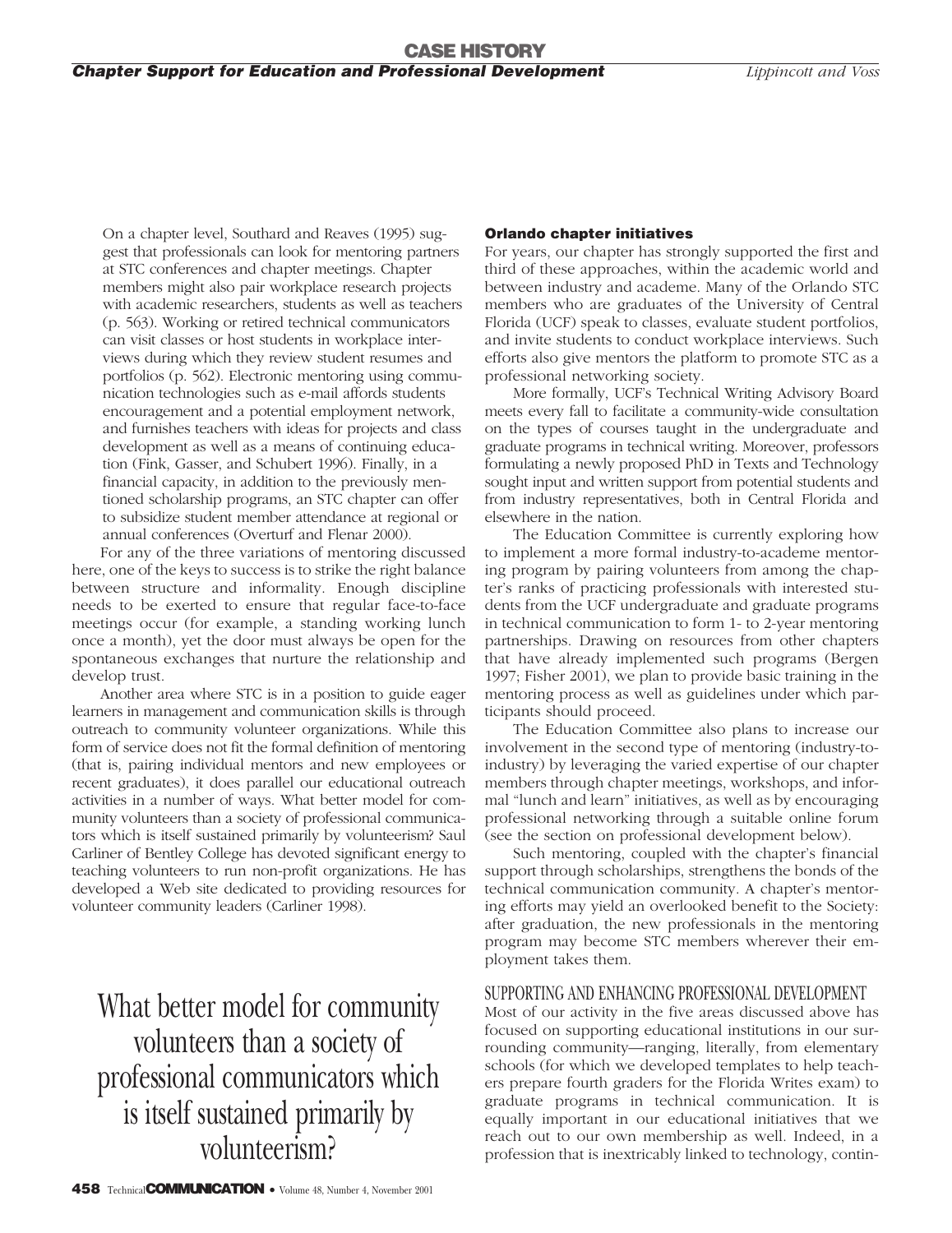On a chapter level, Southard and Reaves (1995) suggest that professionals can look for mentoring partners at STC conferences and chapter meetings. Chapter members might also pair workplace research projects with academic researchers, students as well as teachers (p. 563). Working or retired technical communicators can visit classes or host students in workplace interviews during which they review student resumes and portfolios (p. 562). Electronic mentoring using communication technologies such as e-mail affords students encouragement and a potential employment network, and furnishes teachers with ideas for projects and class development as well as a means of continuing education (Fink, Gasser, and Schubert 1996). Finally, in a financial capacity, in addition to the previously mentioned scholarship programs, an STC chapter can offer to subsidize student member attendance at regional or annual conferences (Overturf and Flenar 2000).

For any of the three variations of mentoring discussed here, one of the keys to success is to strike the right balance between structure and informality. Enough discipline needs to be exerted to ensure that regular face-to-face meetings occur (for example, a standing working lunch once a month), yet the door must always be open for the spontaneous exchanges that nurture the relationship and develop trust.

Another area where STC is in a position to guide eager learners in management and communication skills is through outreach to community volunteer organizations. While this form of service does not fit the formal definition of mentoring (that is, pairing individual mentors and new employees or recent graduates), it does parallel our educational outreach activities in a number of ways. What better model for community volunteers than a society of professional communicators which is itself sustained primarily by volunteerism? Saul Carliner of Bentley College has devoted significant energy to teaching volunteers to run non-profit organizations. He has developed a Web site dedicated to providing resources for volunteer community leaders (Carliner 1998).

What better model for community volunteers than a society of professional communicators which is itself sustained primarily by volunteerism?

#### **458** Technical**COMMUNICATION** • Volume 48, Number 4, November 2001

#### **Orlando chapter initiatives**

For years, our chapter has strongly supported the first and third of these approaches, within the academic world and between industry and academe. Many of the Orlando STC members who are graduates of the University of Central Florida (UCF) speak to classes, evaluate student portfolios, and invite students to conduct workplace interviews. Such efforts also give mentors the platform to promote STC as a professional networking society.

More formally, UCF's Technical Writing Advisory Board meets every fall to facilitate a community-wide consultation on the types of courses taught in the undergraduate and graduate programs in technical writing. Moreover, professors formulating a newly proposed PhD in Texts and Technology sought input and written support from potential students and from industry representatives, both in Central Florida and elsewhere in the nation.

The Education Committee is currently exploring how to implement a more formal industry-to-academe mentoring program by pairing volunteers from among the chapter's ranks of practicing professionals with interested students from the UCF undergraduate and graduate programs in technical communication to form 1- to 2-year mentoring partnerships. Drawing on resources from other chapters that have already implemented such programs (Bergen 1997; Fisher 2001), we plan to provide basic training in the mentoring process as well as guidelines under which participants should proceed.

The Education Committee also plans to increase our involvement in the second type of mentoring (industry-toindustry) by leveraging the varied expertise of our chapter members through chapter meetings, workshops, and informal "lunch and learn" initiatives, as well as by encouraging professional networking through a suitable online forum (see the section on professional development below).

Such mentoring, coupled with the chapter's financial support through scholarships, strengthens the bonds of the technical communication community. A chapter's mentoring efforts may yield an overlooked benefit to the Society: after graduation, the new professionals in the mentoring program may become STC members wherever their employment takes them.

#### SUPPORTING AND ENHANCING PROFESSIONAL DEVELOPMENT

Most of our activity in the five areas discussed above has focused on supporting educational institutions in our surrounding community—ranging, literally, from elementary schools (for which we developed templates to help teachers prepare fourth graders for the Florida Writes exam) to graduate programs in technical communication. It is equally important in our educational initiatives that we reach out to our own membership as well. Indeed, in a profession that is inextricably linked to technology, contin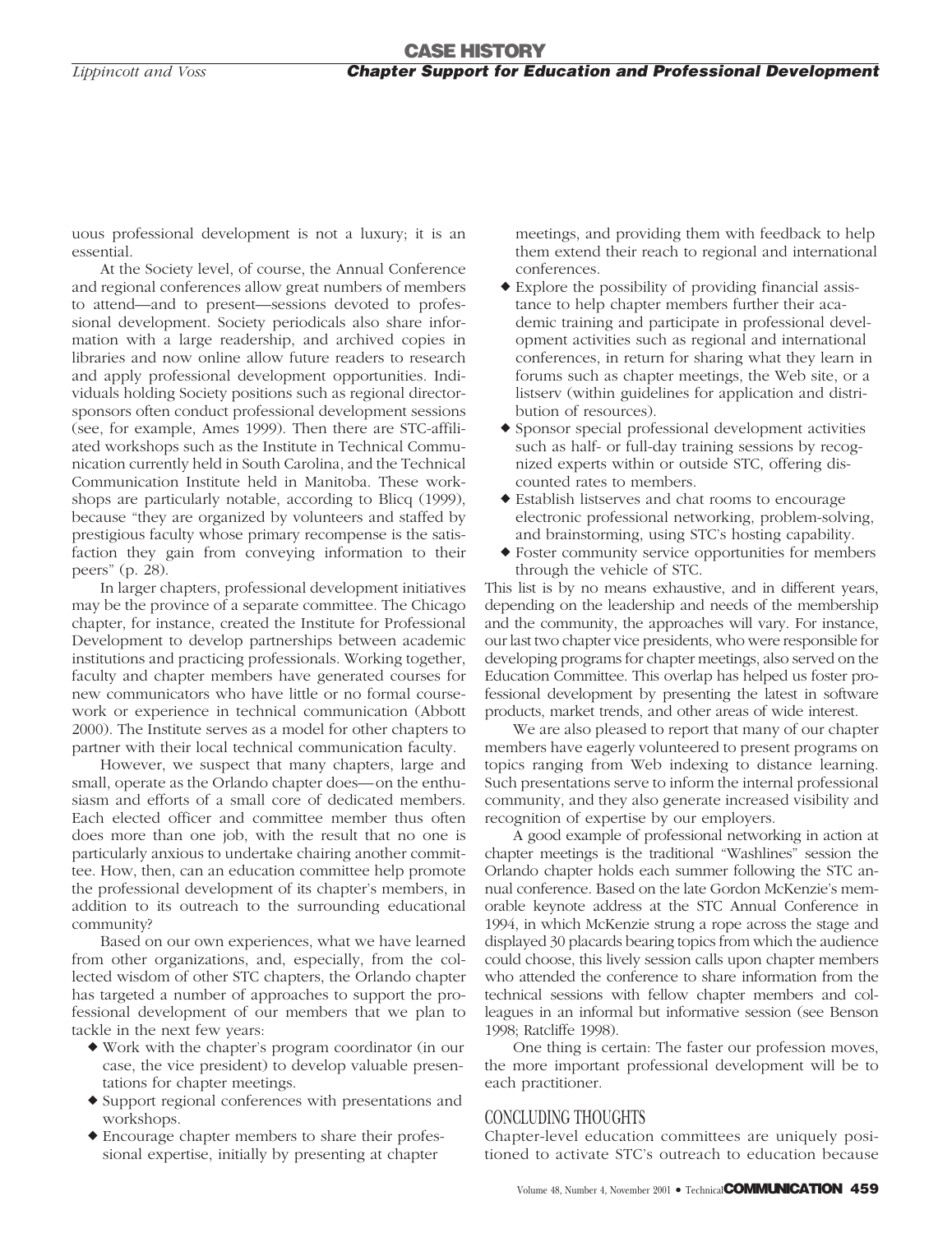uous professional development is not a luxury; it is an essential.

At the Society level, of course, the Annual Conference and regional conferences allow great numbers of members to attend—and to present—sessions devoted to professional development. Society periodicals also share information with a large readership, and archived copies in libraries and now online allow future readers to research and apply professional development opportunities. Individuals holding Society positions such as regional directorsponsors often conduct professional development sessions (see, for example, Ames 1999). Then there are STC-affiliated workshops such as the Institute in Technical Communication currently held in South Carolina, and the Technical Communication Institute held in Manitoba. These workshops are particularly notable, according to Blicq (1999), because "they are organized by volunteers and staffed by prestigious faculty whose primary recompense is the satisfaction they gain from conveying information to their peers" (p. 28).

In larger chapters, professional development initiatives may be the province of a separate committee. The Chicago chapter, for instance, created the Institute for Professional Development to develop partnerships between academic institutions and practicing professionals. Working together, faculty and chapter members have generated courses for new communicators who have little or no formal coursework or experience in technical communication (Abbott 2000). The Institute serves as a model for other chapters to partner with their local technical communication faculty.

However, we suspect that many chapters, large and small, operate as the Orlando chapter does—on the enthusiasm and efforts of a small core of dedicated members. Each elected officer and committee member thus often does more than one job, with the result that no one is particularly anxious to undertake chairing another committee. How, then, can an education committee help promote the professional development of its chapter's members, in addition to its outreach to the surrounding educational community?

Based on our own experiences, what we have learned from other organizations, and, especially, from the collected wisdom of other STC chapters, the Orlando chapter has targeted a number of approaches to support the professional development of our members that we plan to tackle in the next few years:

- Work with the chapter's program coordinator (in our case, the vice president) to develop valuable presentations for chapter meetings.
- Support regional conferences with presentations and workshops.
- Encourage chapter members to share their professional expertise, initially by presenting at chapter

meetings, and providing them with feedback to help them extend their reach to regional and international conferences.

- Explore the possibility of providing financial assistance to help chapter members further their academic training and participate in professional development activities such as regional and international conferences, in return for sharing what they learn in forums such as chapter meetings, the Web site, or a listserv (within guidelines for application and distribution of resources).
- Sponsor special professional development activities such as half- or full-day training sessions by recognized experts within or outside STC, offering discounted rates to members.
- Establish listserves and chat rooms to encourage electronic professional networking, problem-solving, and brainstorming, using STC's hosting capability.
- Foster community service opportunities for members through the vehicle of STC.

This list is by no means exhaustive, and in different years, depending on the leadership and needs of the membership and the community, the approaches will vary. For instance, our last two chapter vice presidents, who were responsible for developing programs for chapter meetings, also served on the Education Committee. This overlap has helped us foster professional development by presenting the latest in software products, market trends, and other areas of wide interest.

We are also pleased to report that many of our chapter members have eagerly volunteered to present programs on topics ranging from Web indexing to distance learning. Such presentations serve to inform the internal professional community, and they also generate increased visibility and recognition of expertise by our employers.

A good example of professional networking in action at chapter meetings is the traditional "Washlines" session the Orlando chapter holds each summer following the STC annual conference. Based on the late Gordon McKenzie's memorable keynote address at the STC Annual Conference in 1994, in which McKenzie strung a rope across the stage and displayed 30 placards bearing topics from which the audience could choose, this lively session calls upon chapter members who attended the conference to share information from the technical sessions with fellow chapter members and colleagues in an informal but informative session (see Benson 1998; Ratcliffe 1998).

One thing is certain: The faster our profession moves, the more important professional development will be to each practitioner.

#### CONCLUDING THOUGHTS

Chapter-level education committees are uniquely positioned to activate STC's outreach to education because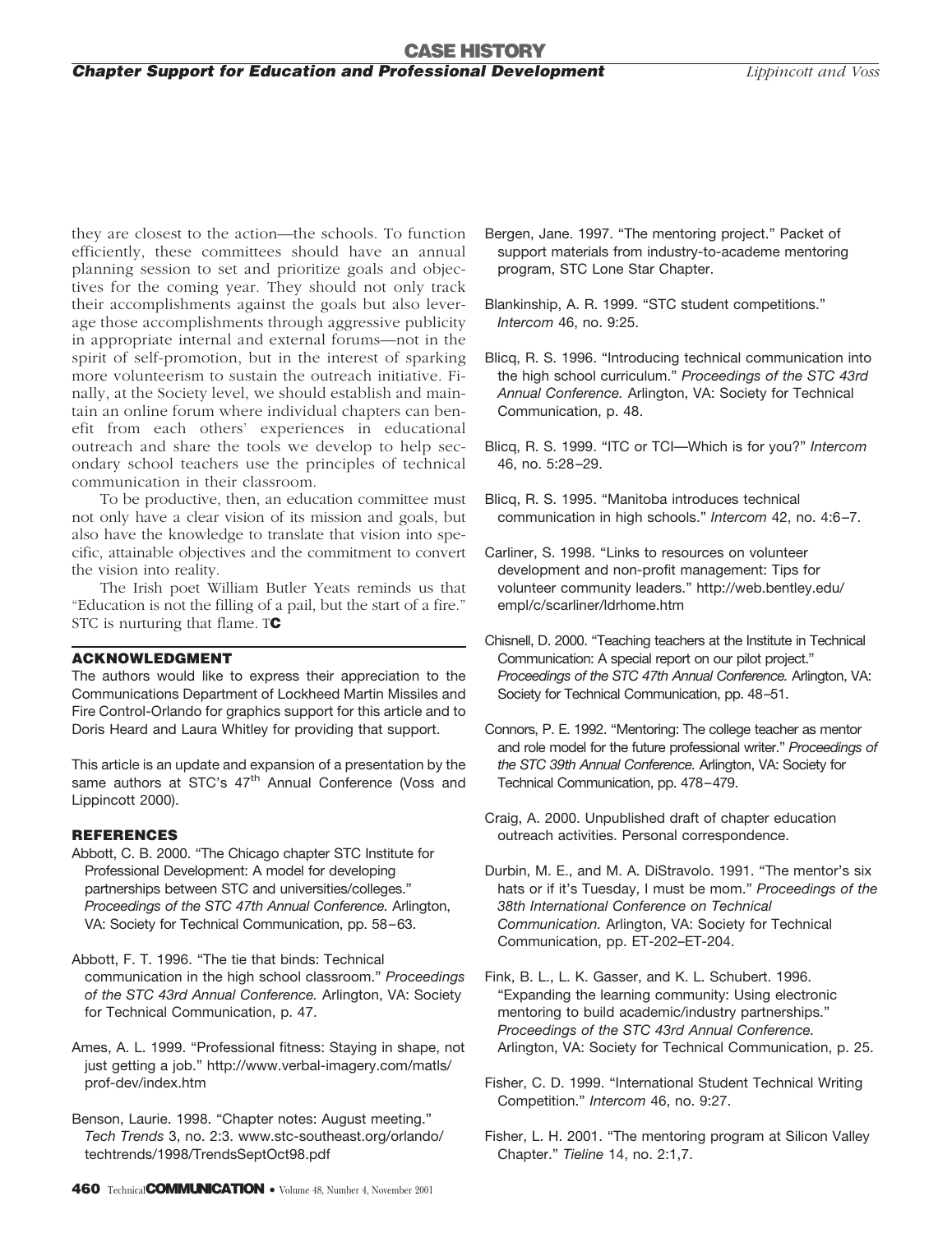they are closest to the action—the schools. To function efficiently, these committees should have an annual planning session to set and prioritize goals and objectives for the coming year. They should not only track their accomplishments against the goals but also leverage those accomplishments through aggressive publicity in appropriate internal and external forums—not in the spirit of self-promotion, but in the interest of sparking more volunteerism to sustain the outreach initiative. Finally, at the Society level, we should establish and maintain an online forum where individual chapters can benefit from each others' experiences in educational outreach and share the tools we develop to help secondary school teachers use the principles of technical communication in their classroom.

To be productive, then, an education committee must not only have a clear vision of its mission and goals, but also have the knowledge to translate that vision into specific, attainable objectives and the commitment to convert the vision into reality.

The Irish poet William Butler Yeats reminds us that "Education is not the filling of a pail, but the start of a fire." STC is nurturing that flame. T**C**

#### **ACKNOWLEDGMENT**

The authors would like to express their appreciation to the Communications Department of Lockheed Martin Missiles and Fire Control-Orlando for graphics support for this article and to Doris Heard and Laura Whitley for providing that support.

This article is an update and expansion of a presentation by the same authors at STC's 47<sup>th</sup> Annual Conference (Voss and Lippincott 2000).

#### **REFERENCES**

- Abbott, C. B. 2000. "The Chicago chapter STC Institute for Professional Development: A model for developing partnerships between STC and universities/colleges." *Proceedings of the STC 47th Annual Conference.* Arlington, VA: Society for Technical Communication, pp. 58–63.
- Abbott, F. T. 1996. "The tie that binds: Technical communication in the high school classroom." *Proceedings of the STC 43rd Annual Conference.* Arlington, VA: Society for Technical Communication, p. 47.
- Ames, A. L. 1999. "Professional fitness: Staying in shape, not just getting a job." http://www.verbal-imagery.com/matls/ prof-dev/index.htm
- Benson, Laurie. 1998. "Chapter notes: August meeting." *Tech Trends* 3, no. 2:3. www.stc-southeast.org/orlando/ techtrends/1998/TrendsSeptOct98.pdf
- Bergen, Jane. 1997. "The mentoring project." Packet of support materials from industry-to-academe mentoring program, STC Lone Star Chapter.
- Blankinship, A. R. 1999. "STC student competitions." *Intercom* 46, no. 9:25.
- Blicq, R. S. 1996. "Introducing technical communication into the high school curriculum." *Proceedings of the STC 43rd Annual Conference.* Arlington, VA: Society for Technical Communication, p. 48.
- Blicq, R. S. 1999. "ITC or TCI—Which is for you?" *Intercom* 46, no. 5:28–29.
- Blicq, R. S. 1995. "Manitoba introduces technical communication in high schools." *Intercom* 42, no. 4:6–7.
- Carliner, S. 1998. "Links to resources on volunteer development and non-profit management: Tips for volunteer community leaders." http://web.bentley.edu/ empl/c/scarliner/ldrhome.htm
- Chisnell, D. 2000. "Teaching teachers at the Institute in Technical Communication: A special report on our pilot project." *Proceedings of the STC 47th Annual Conference.* Arlington, VA: Society for Technical Communication, pp. 48–51.
- Connors, P. E. 1992. "Mentoring: The college teacher as mentor and role model for the future professional writer." *Proceedings of the STC 39th Annual Conference.* Arlington, VA: Society for Technical Communication, pp. 478–479.
- Craig, A. 2000. Unpublished draft of chapter education outreach activities. Personal correspondence.
- Durbin, M. E., and M. A. DiStravolo. 1991. "The mentor's six hats or if it's Tuesday, I must be mom." *Proceedings of the 38th International Conference on Technical Communication.* Arlington, VA: Society for Technical Communication, pp. ET-202–ET-204.
- Fink, B. L., L. K. Gasser, and K. L. Schubert. 1996. "Expanding the learning community: Using electronic mentoring to build academic/industry partnerships." *Proceedings of the STC 43rd Annual Conference.* Arlington, VA: Society for Technical Communication, p. 25.
- Fisher, C. D. 1999. "International Student Technical Writing Competition." *Intercom* 46, no. 9:27.
- Fisher, L. H. 2001. "The mentoring program at Silicon Valley Chapter." *Tieline* 14, no. 2:1,7.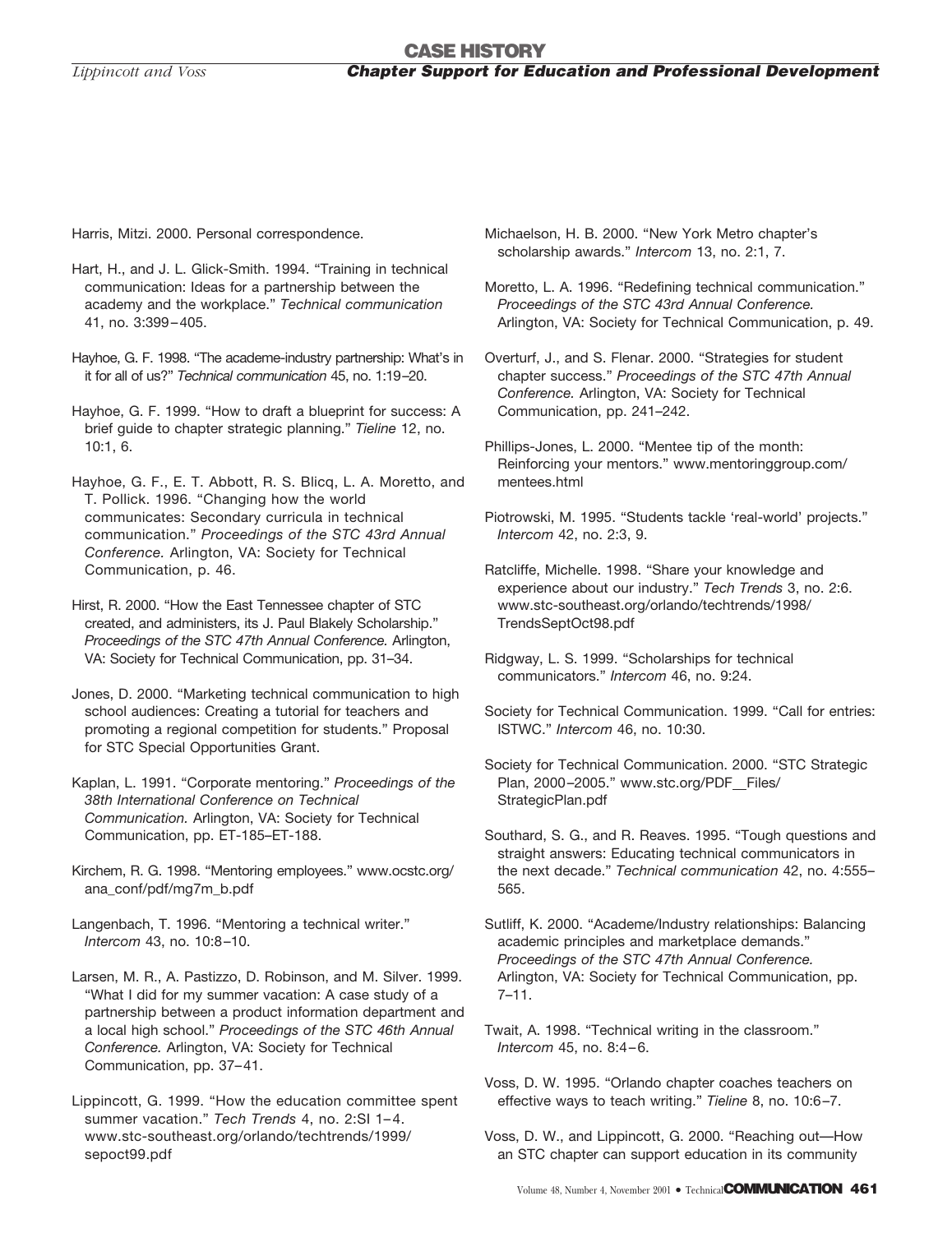Harris, Mitzi. 2000. Personal correspondence.

- Hart, H., and J. L. Glick-Smith. 1994. "Training in technical communication: Ideas for a partnership between the academy and the workplace." *Technical communication* 41, no. 3:399–405.
- Hayhoe, G. F. 1998. "The academe-industry partnership: What's in it for all of us?" *Technical communication* 45, no. 1:19–20.
- Hayhoe, G. F. 1999. "How to draft a blueprint for success: A brief guide to chapter strategic planning." *Tieline* 12, no. 10:1, 6.
- Hayhoe, G. F., E. T. Abbott, R. S. Blicq, L. A. Moretto, and T. Pollick. 1996. "Changing how the world communicates: Secondary curricula in technical communication." *Proceedings of the STC 43rd Annual Conference.* Arlington, VA: Society for Technical Communication, p. 46.
- Hirst, R. 2000. "How the East Tennessee chapter of STC created, and administers, its J. Paul Blakely Scholarship." *Proceedings of the STC 47th Annual Conference.* Arlington, VA: Society for Technical Communication, pp. 31–34.
- Jones, D. 2000. "Marketing technical communication to high school audiences: Creating a tutorial for teachers and promoting a regional competition for students." Proposal for STC Special Opportunities Grant.
- Kaplan, L. 1991. "Corporate mentoring." *Proceedings of the 38th International Conference on Technical Communication.* Arlington, VA: Society for Technical Communication, pp. ET-185–ET-188.
- Kirchem, R. G. 1998. "Mentoring employees." www.ocstc.org/ ana\_conf/pdf/mg7m\_b.pdf
- Langenbach, T. 1996. "Mentoring a technical writer." *Intercom* 43, no. 10:8–10.
- Larsen, M. R., A. Pastizzo, D. Robinson, and M. Silver. 1999. "What I did for my summer vacation: A case study of a partnership between a product information department and a local high school." *Proceedings of the STC 46th Annual Conference.* Arlington, VA: Society for Technical Communication, pp. 37–41.
- Lippincott, G. 1999. "How the education committee spent summer vacation." *Tech Trends* 4, no. 2:SI 1– 4. www.stc-southeast.org/orlando/techtrends/1999/ sepoct99.pdf
- Michaelson, H. B. 2000. "New York Metro chapter's scholarship awards." *Intercom* 13, no. 2:1, 7.
- Moretto, L. A. 1996. "Redefining technical communication." *Proceedings of the STC 43rd Annual Conference.* Arlington, VA: Society for Technical Communication, p. 49.
- Overturf, J., and S. Flenar. 2000. "Strategies for student chapter success." *Proceedings of the STC 47th Annual Conference.* Arlington, VA: Society for Technical Communication, pp. 241–242.
- Phillips-Jones, L. 2000. "Mentee tip of the month: Reinforcing your mentors." www.mentoringgroup.com/ mentees.html
- Piotrowski, M. 1995. "Students tackle 'real-world' projects." *Intercom* 42, no. 2:3, 9.
- Ratcliffe, Michelle. 1998. "Share your knowledge and experience about our industry." *Tech Trends* 3, no. 2:6. www.stc-southeast.org/orlando/techtrends/1998/ TrendsSeptOct98.pdf
- Ridgway, L. S. 1999. "Scholarships for technical communicators." *Intercom* 46, no. 9:24.
- Society for Technical Communication. 1999. "Call for entries: ISTWC." *Intercom* 46, no. 10:30.
- Society for Technical Communication. 2000. "STC Strategic Plan, 2000-2005." www.stc.org/PDF\_Files/ StrategicPlan.pdf
- Southard, S. G., and R. Reaves. 1995. "Tough questions and straight answers: Educating technical communicators in the next decade." *Technical communication* 42, no. 4:555– 565.
- Sutliff, K. 2000. "Academe/Industry relationships: Balancing academic principles and marketplace demands." *Proceedings of the STC 47th Annual Conference.* Arlington, VA: Society for Technical Communication, pp. 7–11.
- Twait, A. 1998. "Technical writing in the classroom." *Intercom* 45, no. 8:4–6.
- Voss, D. W. 1995. "Orlando chapter coaches teachers on effective ways to teach writing." *Tieline* 8, no. 10:6–7.
- Voss, D. W., and Lippincott, G. 2000. "Reaching out—How an STC chapter can support education in its community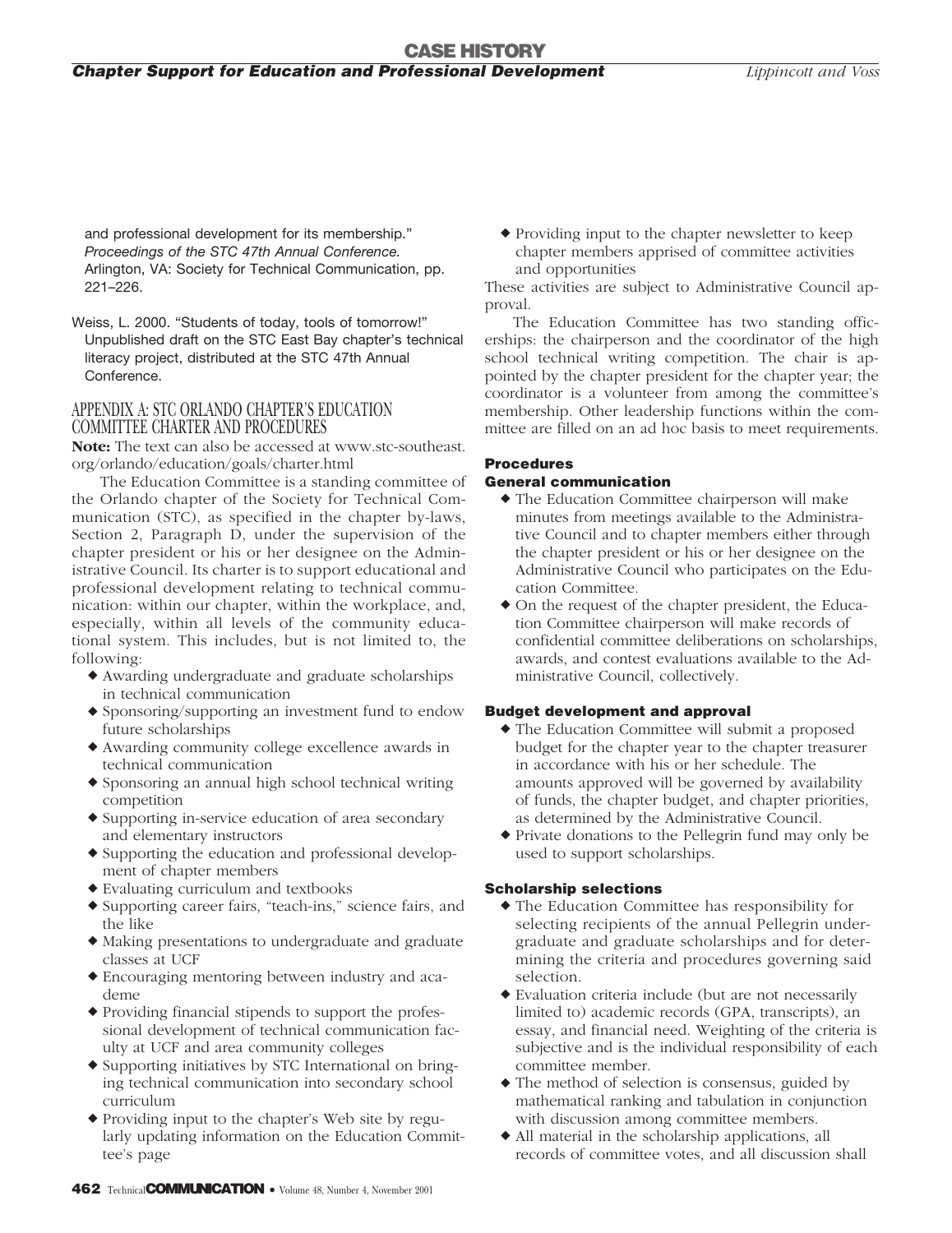and professional development for its membership." *Proceedings of the STC 47th Annual Conference.* Arlington, VA: Society for Technical Communication, pp. 221–226.

Weiss, L. 2000. "Students of today, tools of tomorrow!" Unpublished draft on the STC East Bay chapter's technical literacy project, distributed at the STC 47th Annual Conference.

#### APPENDIX A: STC ORLANDO CHAPTER'S EDUCATION COMMITTEE CHARTER AND PROCEDURES

**Note:** The text can also be accessed at www.stc-southeast. org/orlando/education/goals/charter.html

The Education Committee is a standing committee of the Orlando chapter of the Society for Technical Communication (STC), as specified in the chapter by-laws, Section 2, Paragraph D, under the supervision of the chapter president or his or her designee on the Administrative Council. Its charter is to support educational and professional development relating to technical communication: within our chapter, within the workplace, and, especially, within all levels of the community educational system. This includes, but is not limited to, the following:

- Awarding undergraduate and graduate scholarships in technical communication
- Sponsoring/supporting an investment fund to endow future scholarships
- Awarding community college excellence awards in technical communication
- Sponsoring an annual high school technical writing competition
- $\blacklozenge$  Supporting in-service education of area secondary and elementary instructors
- Supporting the education and professional development of chapter members
- Evaluating curriculum and textbooks
- Supporting career fairs, "teach-ins," science fairs, and the like
- Making presentations to undergraduate and graduate classes at UCF
- Encouraging mentoring between industry and academe
- Providing financial stipends to support the professional development of technical communication faculty at UCF and area community colleges
- Supporting initiatives by STC International on bringing technical communication into secondary school curriculum
- Providing input to the chapter's Web site by regularly updating information on the Education Committee's page

 Providing input to the chapter newsletter to keep chapter members apprised of committee activities and opportunities

These activities are subject to Administrative Council approval.

The Education Committee has two standing officerships: the chairperson and the coordinator of the high school technical writing competition. The chair is appointed by the chapter president for the chapter year; the coordinator is a volunteer from among the committee's membership. Other leadership functions within the committee are filled on an ad hoc basis to meet requirements.

#### **Procedures**

#### **General communication**

- The Education Committee chairperson will make minutes from meetings available to the Administrative Council and to chapter members either through the chapter president or his or her designee on the Administrative Council who participates on the Education Committee.
- On the request of the chapter president, the Education Committee chairperson will make records of confidential committee deliberations on scholarships, awards, and contest evaluations available to the Administrative Council, collectively.

#### **Budget development and approval**

- The Education Committee will submit a proposed budget for the chapter year to the chapter treasurer in accordance with his or her schedule. The amounts approved will be governed by availability of funds, the chapter budget, and chapter priorities, as determined by the Administrative Council.
- Private donations to the Pellegrin fund may only be used to support scholarships.

#### **Scholarship selections**

- The Education Committee has responsibility for selecting recipients of the annual Pellegrin undergraduate and graduate scholarships and for determining the criteria and procedures governing said selection.
- Evaluation criteria include (but are not necessarily limited to) academic records (GPA, transcripts), an essay, and financial need. Weighting of the criteria is subjective and is the individual responsibility of each committee member.
- The method of selection is consensus, guided by mathematical ranking and tabulation in conjunction with discussion among committee members.
- All material in the scholarship applications, all records of committee votes, and all discussion shall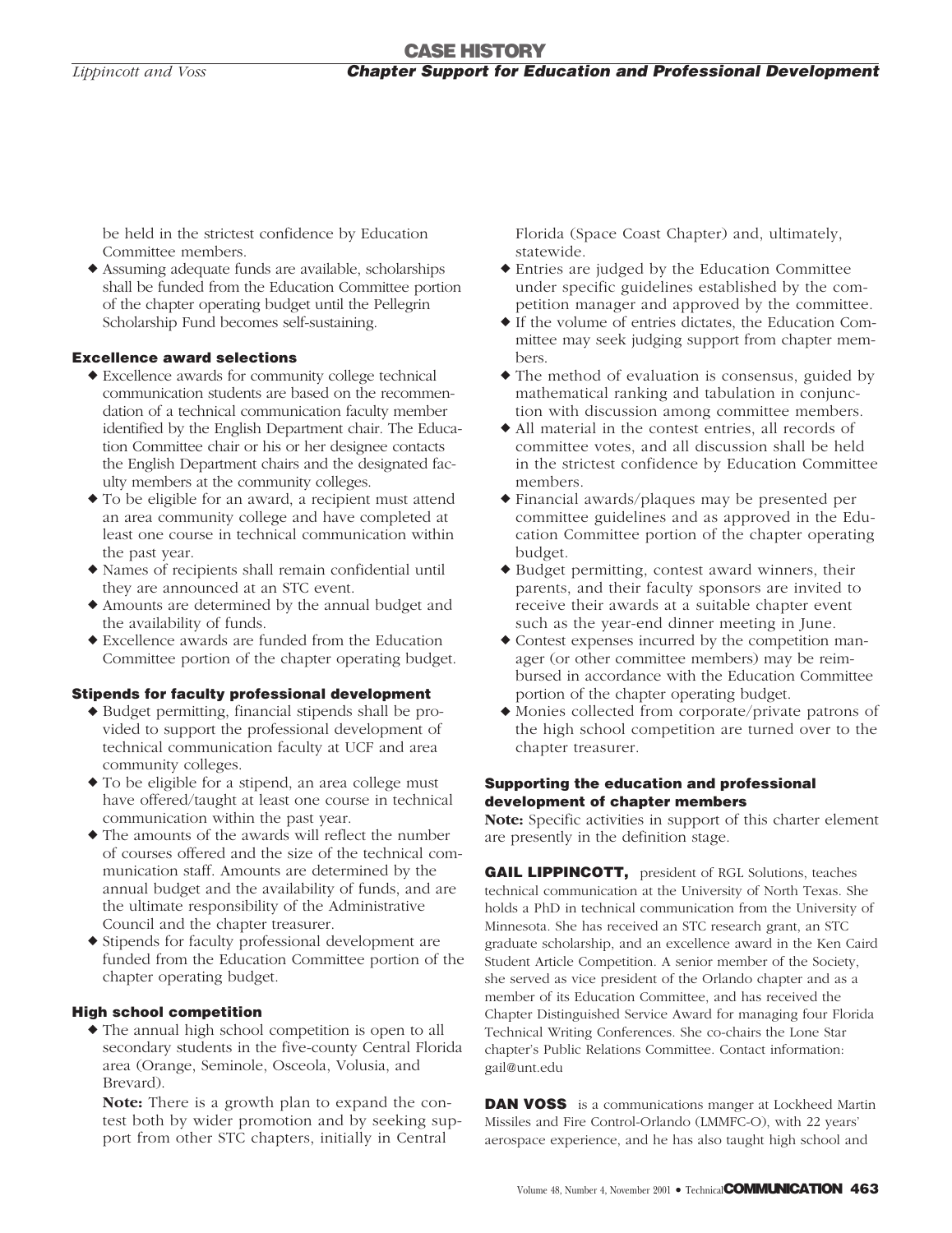be held in the strictest confidence by Education Committee members.

 Assuming adequate funds are available, scholarships shall be funded from the Education Committee portion of the chapter operating budget until the Pellegrin Scholarship Fund becomes self-sustaining.

#### **Excellence award selections**

- Excellence awards for community college technical communication students are based on the recommendation of a technical communication faculty member identified by the English Department chair. The Education Committee chair or his or her designee contacts the English Department chairs and the designated faculty members at the community colleges.
- To be eligible for an award, a recipient must attend an area community college and have completed at least one course in technical communication within the past year.
- Names of recipients shall remain confidential until they are announced at an STC event.
- Amounts are determined by the annual budget and the availability of funds.
- Excellence awards are funded from the Education Committee portion of the chapter operating budget.

#### **Stipends for faculty professional development**

- Budget permitting, financial stipends shall be provided to support the professional development of technical communication faculty at UCF and area community colleges.
- To be eligible for a stipend, an area college must have offered/taught at least one course in technical communication within the past year.
- The amounts of the awards will reflect the number of courses offered and the size of the technical communication staff. Amounts are determined by the annual budget and the availability of funds, and are the ultimate responsibility of the Administrative Council and the chapter treasurer.
- Stipends for faculty professional development are funded from the Education Committee portion of the chapter operating budget.

#### **High school competition**

 The annual high school competition is open to all secondary students in the five-county Central Florida area (Orange, Seminole, Osceola, Volusia, and Brevard).

**Note:** There is a growth plan to expand the contest both by wider promotion and by seeking support from other STC chapters, initially in Central

Florida (Space Coast Chapter) and, ultimately, statewide.

- Entries are judged by the Education Committee under specific guidelines established by the competition manager and approved by the committee.
- If the volume of entries dictates, the Education Committee may seek judging support from chapter members.
- The method of evaluation is consensus, guided by mathematical ranking and tabulation in conjunction with discussion among committee members.
- All material in the contest entries, all records of committee votes, and all discussion shall be held in the strictest confidence by Education Committee members.
- Financial awards/plaques may be presented per committee guidelines and as approved in the Education Committee portion of the chapter operating budget.
- Budget permitting, contest award winners, their parents, and their faculty sponsors are invited to receive their awards at a suitable chapter event such as the year-end dinner meeting in June.
- Contest expenses incurred by the competition manager (or other committee members) may be reimbursed in accordance with the Education Committee portion of the chapter operating budget.
- Monies collected from corporate/private patrons of the high school competition are turned over to the chapter treasurer.

#### **Supporting the education and professional development of chapter members**

**Note:** Specific activities in support of this charter element are presently in the definition stage.

**GAIL LIPPINCOTT,** president of RGL Solutions, teaches technical communication at the University of North Texas. She holds a PhD in technical communication from the University of Minnesota. She has received an STC research grant, an STC graduate scholarship, and an excellence award in the Ken Caird Student Article Competition. A senior member of the Society, she served as vice president of the Orlando chapter and as a member of its Education Committee, and has received the Chapter Distinguished Service Award for managing four Florida Technical Writing Conferences. She co-chairs the Lone Star chapter's Public Relations Committee. Contact information: gail@unt.edu

**DAN VOSS** is a communications manger at Lockheed Martin Missiles and Fire Control-Orlando (LMMFC-O), with 22 years' aerospace experience, and he has also taught high school and